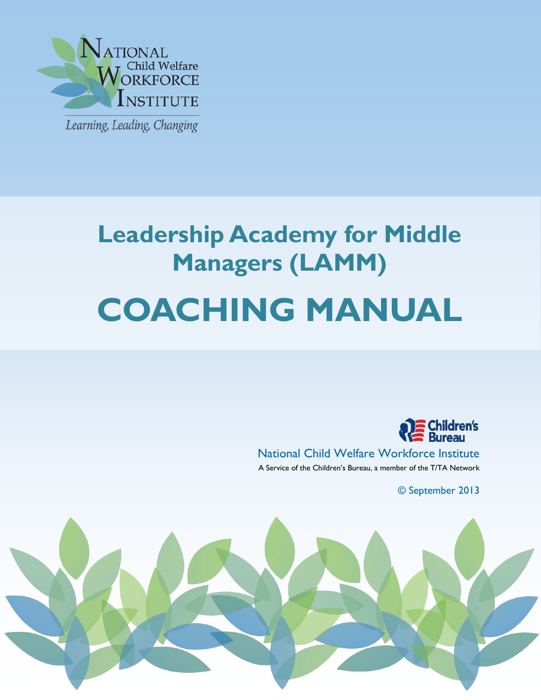

j

# **Leadership Academy for Middle Managers (LAMM) COACHING MANUAL**



National Child Welfare Workforce Institute A Service of the Children's Bureau, a member of the T/TA Network

© September 2013

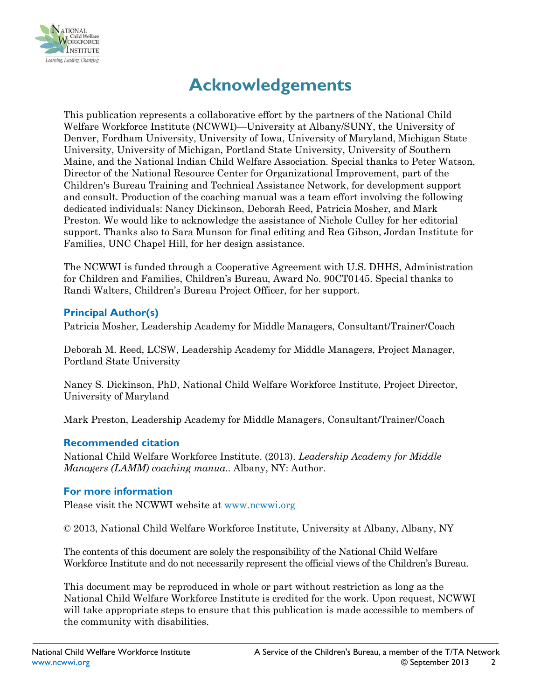

# **Acknowledgements**

This publication represents a collaborative effort by the partners of the National Child Welfare Workforce Institute (NCWWI)—University at Albany/SUNY, the University of Denver, Fordham University, University of Iowa, University of Maryland, Michigan State University, University of Michigan, Portland State University, University of Southern Maine, and the National Indian Child Welfare Association. Special thanks to Peter Watson, Director of the National Resource Center for Organizational Improvement, part of the Children's Bureau Training and Technical Assistance Network, for development support and consult. Production of the coaching manual was a team effort involving the following dedicated individuals: Nancy Dickinson, Deborah Reed, Patricia Mosher, and Mark Preston. We would like to acknowledge the assistance of Nichole Culley for her editorial support. Thanks also to Sara Munson for final editing and Rea Gibson, Jordan Institute for Families, UNC Chapel Hill, for her design assistance.

The NCWWI is funded through a Cooperative Agreement with U.S. DHHS, Administration for Children and Families, Children's Bureau, Award No. 90CT0145. Special thanks to Randi Walters, Children's Bureau Project Officer, for her support.

#### **Principal Author(s)**

Patricia Mosher, Leadership Academy for Middle Managers, Consultant/Trainer/Coach

Deborah M. Reed, LCSW, Leadership Academy for Middle Managers, Project Manager, Portland State University

Nancy S. Dickinson, PhD, National Child Welfare Workforce Institute, Project Director, University of Maryland

Mark Preston, Leadership Academy for Middle Managers, Consultant/Trainer/Coach

#### **Recommended citation**

National Child Welfare Workforce Institute. (2013). *Leadership Academy for Middle Managers (LAMM) coaching manua..* Albany, NY: Author.

#### **For more information**

Please visit the NCWWI website at www.ncwwi.org

© 2013, National Child Welfare Workforce Institute, University at Albany, Albany, NY

The contents of this document are solely the responsibility of the National Child Welfare Workforce Institute and do not necessarily represent the official views of the Children's Bureau.

This document may be reproduced in whole or part without restriction as long as the National Child Welfare Workforce Institute is credited for the work. Upon request, NCWWI will take appropriate steps to ensure that this publication is made accessible to members of the community with disabilities.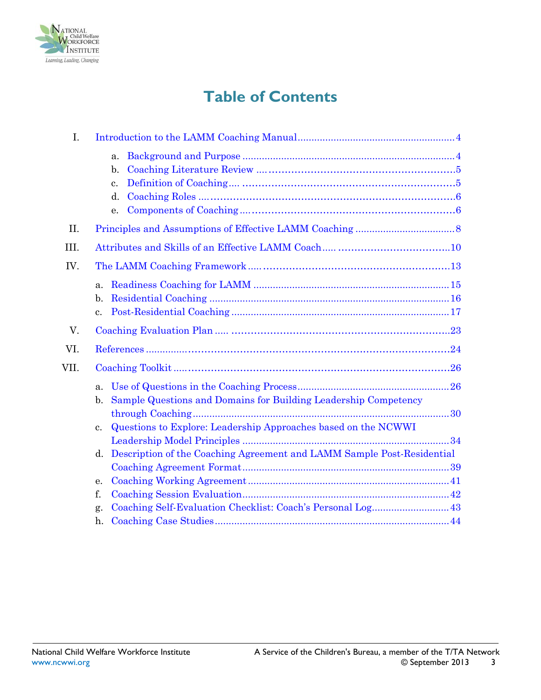

# **Table of Contents**

| I.   |                                                                                   |
|------|-----------------------------------------------------------------------------------|
|      | a.                                                                                |
|      | $\mathbf{b}$ .                                                                    |
|      | $\mathbf{c}$ .                                                                    |
|      | d.                                                                                |
|      | е.                                                                                |
| II.  |                                                                                   |
| III. |                                                                                   |
| IV.  |                                                                                   |
|      | a <sub>z</sub>                                                                    |
|      | b.                                                                                |
|      | $\mathbf{c}$ .                                                                    |
| V.   |                                                                                   |
| VI.  |                                                                                   |
| VII. |                                                                                   |
|      | a.                                                                                |
|      | Sample Questions and Domains for Building Leadership Competency<br>$\mathbf{b}$ . |
|      |                                                                                   |
|      | Questions to Explore: Leadership Approaches based on the NCWWI<br>$\mathbf{c}$ .  |
|      |                                                                                   |
|      | Description of the Coaching Agreement and LAMM Sample Post-Residential<br>d.      |
|      |                                                                                   |
|      | e.                                                                                |
|      | f.                                                                                |
|      | g.                                                                                |
|      | h.                                                                                |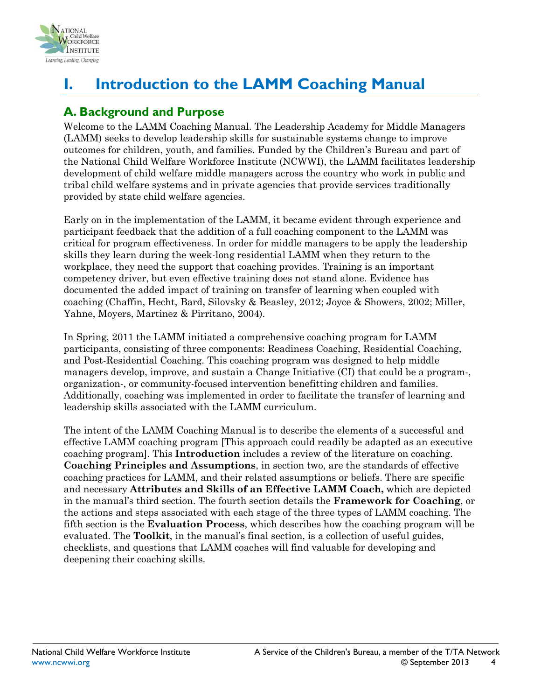

# <span id="page-3-0"></span>**I. Introduction to the LAMM Coaching Manual**

# <span id="page-3-1"></span>**A. Background and Purpose**

Welcome to the LAMM Coaching Manual. The Leadership Academy for Middle Managers (LAMM) seeks to develop leadership skills for sustainable systems change to improve outcomes for children, youth, and families. Funded by the Children's Bureau and part of the National Child Welfare Workforce Institute (NCWWI), the LAMM facilitates leadership development of child welfare middle managers across the country who work in public and tribal child welfare systems and in private agencies that provide services traditionally provided by state child welfare agencies.

Early on in the implementation of the LAMM, it became evident through experience and participant feedback that the addition of a full coaching component to the LAMM was critical for program effectiveness. In order for middle managers to be apply the leadership skills they learn during the week-long residential LAMM when they return to the workplace, they need the support that coaching provides. Training is an important competency driver, but even effective training does not stand alone. Evidence has documented the added impact of training on transfer of learning when coupled with coaching (Chaffin, Hecht, Bard, Silovsky & Beasley, 2012; Joyce & Showers, 2002; Miller, Yahne, Moyers, Martinez & Pirritano, 2004).

In Spring, 2011 the LAMM initiated a comprehensive coaching program for LAMM participants, consisting of three components: Readiness Coaching, Residential Coaching, and Post-Residential Coaching. This coaching program was designed to help middle managers develop, improve, and sustain a Change Initiative (CI) that could be a program-, organization-, or community-focused intervention benefitting children and families. Additionally, coaching was implemented in order to facilitate the transfer of learning and leadership skills associated with the LAMM curriculum.

The intent of the LAMM Coaching Manual is to describe the elements of a successful and effective LAMM coaching program [This approach could readily be adapted as an executive coaching program]. This **Introduction** includes a review of the literature on coaching. **Coaching Principles and Assumptions**, in section two, are the standards of effective coaching practices for LAMM, and their related assumptions or beliefs. There are specific and necessary **Attributes and Skills of an Effective LAMM Coach,** which are depicted in the manual's third section. The fourth section details the **Framework for Coaching**, or the actions and steps associated with each stage of the three types of LAMM coaching. The fifth section is the **Evaluation Process**, which describes how the coaching program will be evaluated. The **Toolkit**, in the manual's final section, is a collection of useful guides, checklists, and questions that LAMM coaches will find valuable for developing and deepening their coaching skills.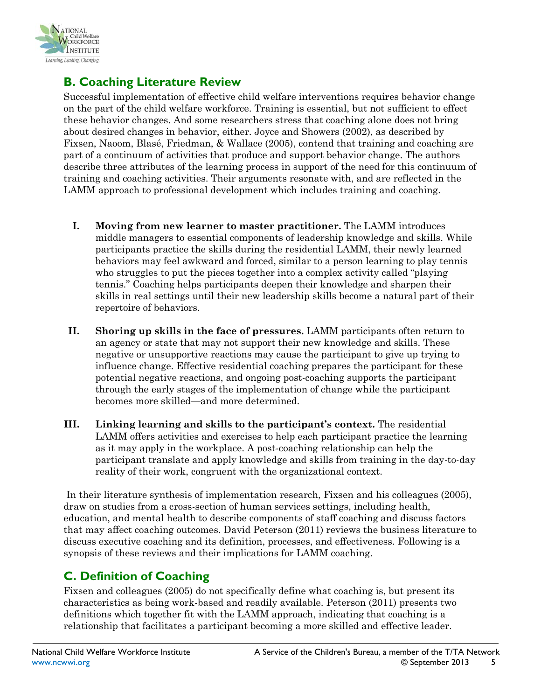

# <span id="page-4-0"></span>**B. Coaching Literature Review**

Successful implementation of effective child welfare interventions requires behavior change on the part of the child welfare workforce. Training is essential, but not sufficient to effect these behavior changes. And some researchers stress that coaching alone does not bring about desired changes in behavior, either. Joyce and Showers (2002), as described by Fixsen, Naoom, Blasé, Friedman, & Wallace (2005), contend that training and coaching are part of a continuum of activities that produce and support behavior change. The authors describe three attributes of the learning process in support of the need for this continuum of training and coaching activities. Their arguments resonate with, and are reflected in the LAMM approach to professional development which includes training and coaching.

- **I. Moving from new learner to master practitioner.** The LAMM introduces middle managers to essential components of leadership knowledge and skills. While participants practice the skills during the residential LAMM, their newly learned behaviors may feel awkward and forced, similar to a person learning to play tennis who struggles to put the pieces together into a complex activity called "playing tennis." Coaching helps participants deepen their knowledge and sharpen their skills in real settings until their new leadership skills become a natural part of their repertoire of behaviors.
- **II. Shoring up skills in the face of pressures.** LAMM participants often return to an agency or state that may not support their new knowledge and skills. These negative or unsupportive reactions may cause the participant to give up trying to influence change. Effective residential coaching prepares the participant for these potential negative reactions, and ongoing post-coaching supports the participant through the early stages of the implementation of change while the participant becomes more skilled—and more determined.
- **III. Linking learning and skills to the participant's context.** The residential LAMM offers activities and exercises to help each participant practice the learning as it may apply in the workplace. A post-coaching relationship can help the participant translate and apply knowledge and skills from training in the day-to-day reality of their work, congruent with the organizational context.

In their literature synthesis of implementation research, Fixsen and his colleagues (2005), draw on studies from a cross-section of human services settings, including health, education, and mental health to describe components of staff coaching and discuss factors that may affect coaching outcomes. David Peterson (2011) reviews the business literature to discuss executive coaching and its definition, processes, and effectiveness. Following is a synopsis of these reviews and their implications for LAMM coaching.

### <span id="page-4-1"></span>**C. Definition of Coaching**

Fixsen and colleagues (2005) do not specifically define what coaching is, but present its characteristics as being work-based and readily available. Peterson (2011) presents two definitions which together fit with the LAMM approach, indicating that coaching is a relationship that facilitates a participant becoming a more skilled and effective leader.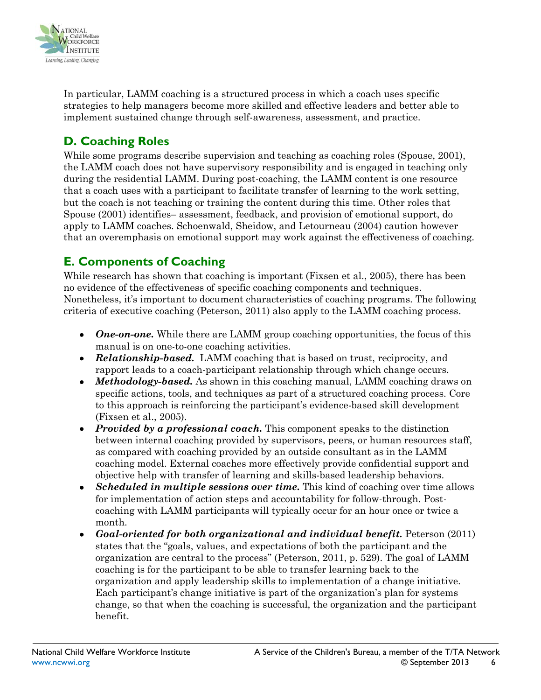

In particular, LAMM coaching is a structured process in which a coach uses specific strategies to help managers become more skilled and effective leaders and better able to implement sustained change through self-awareness, assessment, and practice.

# <span id="page-5-0"></span>**D. Coaching Roles**

While some programs describe supervision and teaching as coaching roles (Spouse, 2001), the LAMM coach does not have supervisory responsibility and is engaged in teaching only during the residential LAMM. During post-coaching, the LAMM content is one resource that a coach uses with a participant to facilitate transfer of learning to the work setting, but the coach is not teaching or training the content during this time. Other roles that Spouse (2001) identifies– assessment, feedback, and provision of emotional support, do apply to LAMM coaches. Schoenwald, Sheidow, and Letourneau (2004) caution however that an overemphasis on emotional support may work against the effectiveness of coaching.

# <span id="page-5-1"></span>**E. Components of Coaching**

While research has shown that coaching is important (Fixsen et al., 2005), there has been no evidence of the effectiveness of specific coaching components and techniques. Nonetheless, it's important to document characteristics of coaching programs. The following criteria of executive coaching (Peterson, 2011) also apply to the LAMM coaching process.

- *One-on-one.* While there are LAMM group coaching opportunities, the focus of this manual is on one-to-one coaching activities.
- *Relationship-based.* LAMM coaching that is based on trust, reciprocity, and rapport leads to a coach-participant relationship through which change occurs.
- *Methodology-based*. As shown in this coaching manual, LAMM coaching draws on specific actions, tools, and techniques as part of a structured coaching process. Core to this approach is reinforcing the participant's evidence-based skill development (Fixsen et al., 2005).
- *Provided by a professional coach.* This component speaks to the distinction between internal coaching provided by supervisors, peers, or human resources staff, as compared with coaching provided by an outside consultant as in the LAMM coaching model. External coaches more effectively provide confidential support and objective help with transfer of learning and skills-based leadership behaviors.
- *Scheduled in multiple sessions over time.* This kind of coaching over time allows for implementation of action steps and accountability for follow-through. Postcoaching with LAMM participants will typically occur for an hour once or twice a month.
- *Goal-oriented for both organizational and individual benefit.* Peterson (2011) states that the "goals, values, and expectations of both the participant and the organization are central to the process" (Peterson, 2011, p. 529). The goal of LAMM coaching is for the participant to be able to transfer learning back to the organization and apply leadership skills to implementation of a change initiative. Each participant's change initiative is part of the organization's plan for systems change, so that when the coaching is successful, the organization and the participant benefit.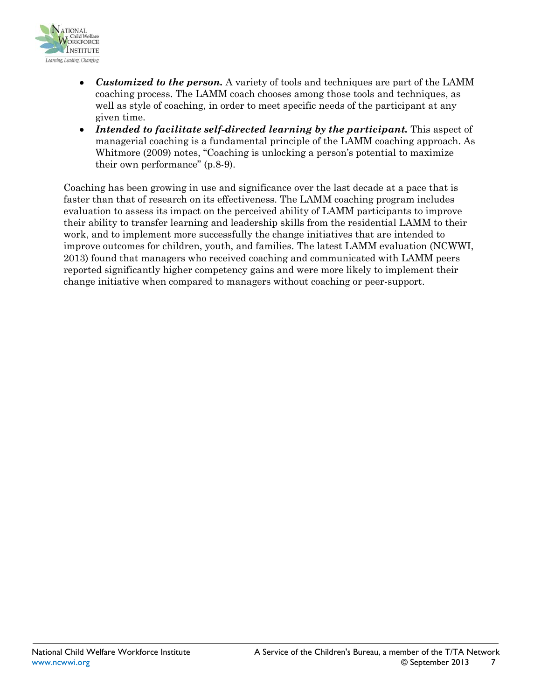

- *Customized to the person.* A variety of tools and techniques are part of the LAMM coaching process. The LAMM coach chooses among those tools and techniques, as well as style of coaching, in order to meet specific needs of the participant at any given time.
- *Intended to facilitate self-directed learning by the participant.* This aspect of managerial coaching is a fundamental principle of the LAMM coaching approach. As Whitmore (2009) notes, "Coaching is unlocking a person's potential to maximize their own performance" (p.8-9).

Coaching has been growing in use and significance over the last decade at a pace that is faster than that of research on its effectiveness. The LAMM coaching program includes evaluation to assess its impact on the perceived ability of LAMM participants to improve their ability to transfer learning and leadership skills from the residential LAMM to their work, and to implement more successfully the change initiatives that are intended to improve outcomes for children, youth, and families. The latest LAMM evaluation (NCWWI, 2013) found that managers who received coaching and communicated with LAMM peers reported significantly higher competency gains and were more likely to implement their change initiative when compared to managers without coaching or peer-support.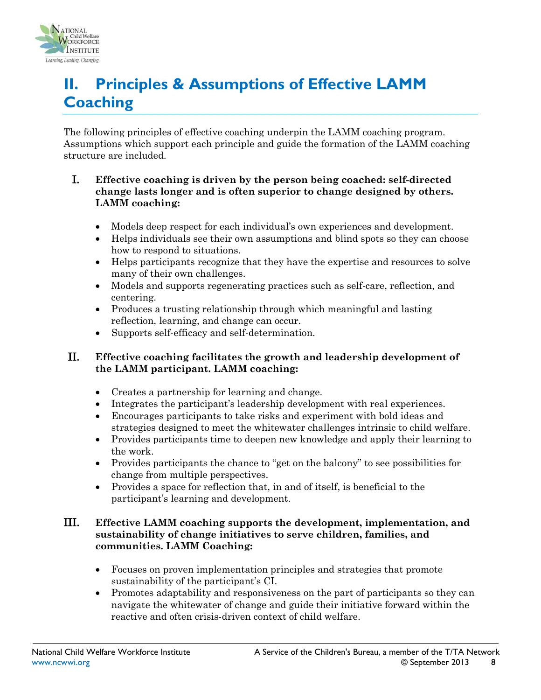

# <span id="page-7-0"></span>**II. Principles & Assumptions of Effective LAMM Coaching**

The following principles of effective coaching underpin the LAMM coaching program. Assumptions which support each principle and guide the formation of the LAMM coaching structure are included.

#### I. **Effective coaching is driven by the person being coached: self-directed change lasts longer and is often superior to change designed by others. LAMM coaching:**

- Models deep respect for each individual's own experiences and development.
- Helps individuals see their own assumptions and blind spots so they can choose how to respond to situations.
- Helps participants recognize that they have the expertise and resources to solve many of their own challenges.
- Models and supports regenerating practices such as self-care, reflection, and centering.
- Produces a trusting relationship through which meaningful and lasting reflection, learning, and change can occur.
- Supports self-efficacy and self-determination.

#### II. **Effective coaching facilitates the growth and leadership development of the LAMM participant. LAMM coaching:**

- Creates a partnership for learning and change.
- Integrates the participant's leadership development with real experiences.
- Encourages participants to take risks and experiment with bold ideas and strategies designed to meet the whitewater challenges intrinsic to child welfare.
- Provides participants time to deepen new knowledge and apply their learning to the work.
- Provides participants the chance to "get on the balcony" to see possibilities for change from multiple perspectives.
- Provides a space for reflection that, in and of itself, is beneficial to the participant's learning and development.

#### III. **Effective LAMM coaching supports the development, implementation, and sustainability of change initiatives to serve children, families, and communities. LAMM Coaching:**

- Focuses on proven implementation principles and strategies that promote sustainability of the participant's CI.
- Promotes adaptability and responsiveness on the part of participants so they can navigate the whitewater of change and guide their initiative forward within the reactive and often crisis-driven context of child welfare.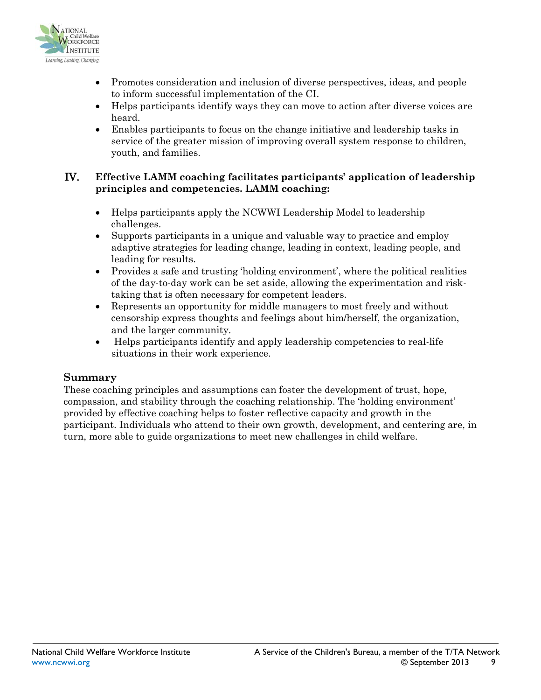

- Promotes consideration and inclusion of diverse perspectives, ideas, and people to inform successful implementation of the CI.
- Helps participants identify ways they can move to action after diverse voices are heard.
- Enables participants to focus on the change initiative and leadership tasks in service of the greater mission of improving overall system response to children, youth, and families.

#### IV. **Effective LAMM coaching facilitates participants' application of leadership principles and competencies. LAMM coaching:**

- Helps participants apply the NCWWI Leadership Model to leadership challenges.
- Supports participants in a unique and valuable way to practice and employ adaptive strategies for leading change, leading in context, leading people, and leading for results.
- Provides a safe and trusting 'holding environment', where the political realities of the day-to-day work can be set aside, allowing the experimentation and risktaking that is often necessary for competent leaders.
- Represents an opportunity for middle managers to most freely and without censorship express thoughts and feelings about him/herself, the organization, and the larger community.
- Helps participants identify and apply leadership competencies to real-life situations in their work experience.

#### **Summary**

These coaching principles and assumptions can foster the development of trust, hope, compassion, and stability through the coaching relationship. The 'holding environment' provided by effective coaching helps to foster reflective capacity and growth in the participant. Individuals who attend to their own growth, development, and centering are, in turn, more able to guide organizations to meet new challenges in child welfare.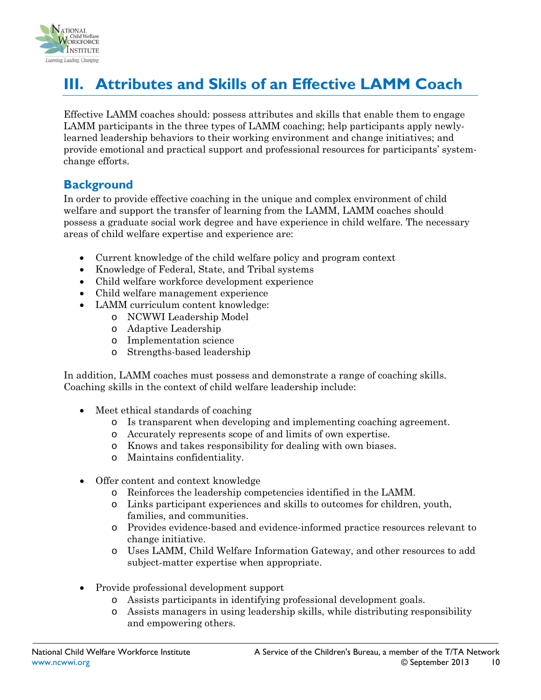

# <span id="page-9-0"></span>**III. Attributes and Skills of an Effective LAMM Coach**

Effective LAMM coaches should: possess attributes and skills that enable them to engage LAMM participants in the three types of LAMM coaching; help participants apply newlylearned leadership behaviors to their working environment and change initiatives; and provide emotional and practical support and professional resources for participants' systemchange efforts.

### **Background**

In order to provide effective coaching in the unique and complex environment of child welfare and support the transfer of learning from the LAMM, LAMM coaches should possess a graduate social work degree and have experience in child welfare. The necessary areas of child welfare expertise and experience are:

- Current knowledge of the child welfare policy and program context
- Knowledge of Federal, State, and Tribal systems
- Child welfare workforce development experience
- Child welfare management experience
- LAMM curriculum content knowledge:
	- o NCWWI Leadership Model
	- o Adaptive Leadership
	- o Implementation science
	- o Strengths-based leadership

In addition, LAMM coaches must possess and demonstrate a range of coaching skills. Coaching skills in the context of child welfare leadership include:

- Meet ethical standards of coaching
	- o Is transparent when developing and implementing coaching agreement.
	- o Accurately represents scope of and limits of own expertise.
	- o Knows and takes responsibility for dealing with own biases.
	- o Maintains confidentiality.
- Offer content and context knowledge
	- o Reinforces the leadership competencies identified in the LAMM.
	- o Links participant experiences and skills to outcomes for children, youth, families, and communities.
	- o Provides evidence-based and evidence-informed practice resources relevant to change initiative.
	- o Uses LAMM, Child Welfare Information Gateway, and other resources to add subject-matter expertise when appropriate.
- Provide professional development support
	- o Assists participants in identifying professional development goals.
	- o Assists managers in using leadership skills, while distributing responsibility and empowering others.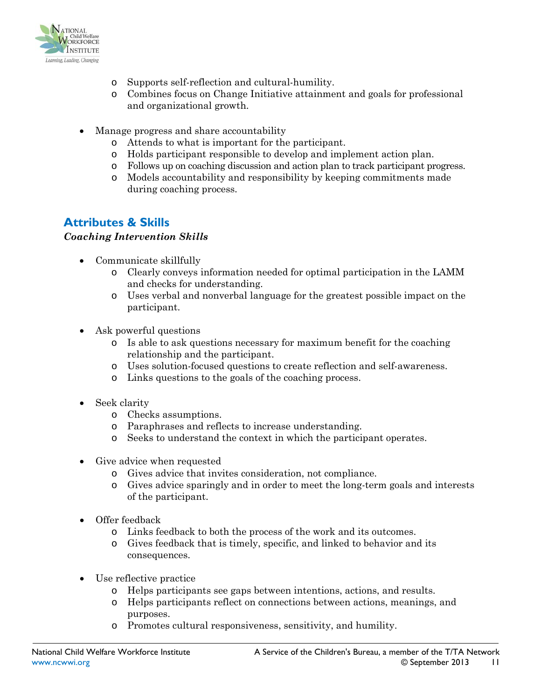

- o Supports self-reflection and cultural-humility.
- o Combines focus on Change Initiative attainment and goals for professional and organizational growth.
- Manage progress and share accountability
	- o Attends to what is important for the participant.
	- o Holds participant responsible to develop and implement action plan.
	- o Follows up on coaching discussion and action plan to track participant progress.
	- o Models accountability and responsibility by keeping commitments made during coaching process.

# **Attributes & Skills**

#### *Coaching Intervention Skills*

- Communicate skillfully
	- o Clearly conveys information needed for optimal participation in the LAMM and checks for understanding.
	- o Uses verbal and nonverbal language for the greatest possible impact on the participant.
- Ask powerful questions
	- o Is able to ask questions necessary for maximum benefit for the coaching relationship and the participant.
	- o Uses solution-focused questions to create reflection and self-awareness.
	- o Links questions to the goals of the coaching process.
- Seek clarity
	- o Checks assumptions.
	- o Paraphrases and reflects to increase understanding.
	- o Seeks to understand the context in which the participant operates.
- Give advice when requested
	- o Gives advice that invites consideration, not compliance.
	- o Gives advice sparingly and in order to meet the long-term goals and interests of the participant.
- Offer feedback
	- o Links feedback to both the process of the work and its outcomes.
	- o Gives feedback that is timely, specific, and linked to behavior and its consequences.
- Use reflective practice
	- o Helps participants see gaps between intentions, actions, and results.
	- o Helps participants reflect on connections between actions, meanings, and purposes.
	- o Promotes cultural responsiveness, sensitivity, and humility.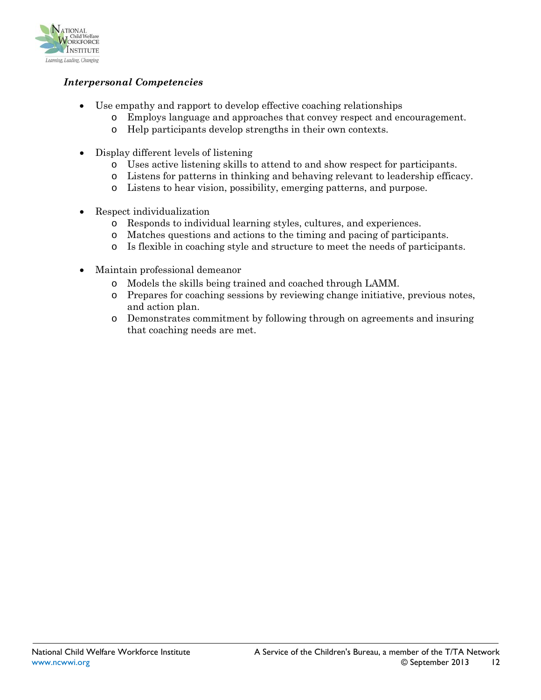

#### *Interpersonal Competencies*

- Use empathy and rapport to develop effective coaching relationships
	- o Employs language and approaches that convey respect and encouragement.
	- o Help participants develop strengths in their own contexts.
- Display different levels of listening
	- o Uses active listening skills to attend to and show respect for participants.
	- o Listens for patterns in thinking and behaving relevant to leadership efficacy.
	- o Listens to hear vision, possibility, emerging patterns, and purpose.
- Respect individualization
	- o Responds to individual learning styles, cultures, and experiences.
	- o Matches questions and actions to the timing and pacing of participants.
	- Is flexible in coaching style and structure to meet the needs of participants.
- Maintain professional demeanor
	- o Models the skills being trained and coached through LAMM.
	- o Prepares for coaching sessions by reviewing change initiative, previous notes, and action plan.
	- o Demonstrates commitment by following through on agreements and insuring that coaching needs are met.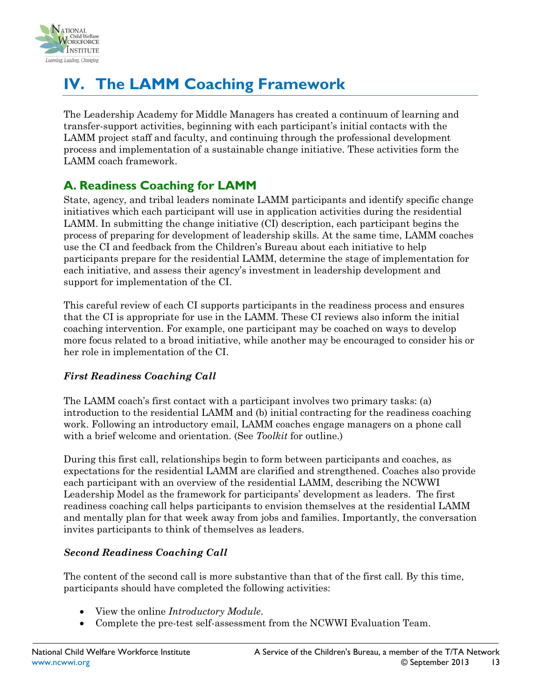

# <span id="page-12-0"></span>**IV. The LAMM Coaching Framework**

The Leadership Academy for Middle Managers has created a continuum of learning and transfer-support activities, beginning with each participant's initial contacts with the LAMM project staff and faculty, and continuing through the professional development process and implementation of a sustainable change initiative. These activities form the LAMM coach framework.

# <span id="page-12-1"></span>**A. Readiness Coaching for LAMM**

State, agency, and tribal leaders nominate LAMM participants and identify specific change initiatives which each participant will use in application activities during the residential LAMM. In submitting the change initiative (CI) description, each participant begins the process of preparing for development of leadership skills. At the same time, LAMM coaches use the CI and feedback from the Children's Bureau about each initiative to help participants prepare for the residential LAMM, determine the stage of implementation for each initiative, and assess their agency's investment in leadership development and support for implementation of the CI.

This careful review of each CI supports participants in the readiness process and ensures that the CI is appropriate for use in the LAMM. These CI reviews also inform the initial coaching intervention. For example, one participant may be coached on ways to develop more focus related to a broad initiative, while another may be encouraged to consider his or her role in implementation of the CI.

#### *First Readiness Coaching Call*

The LAMM coach's first contact with a participant involves two primary tasks: (a) introduction to the residential LAMM and (b) initial contracting for the readiness coaching work. Following an introductory email, LAMM coaches engage managers on a phone call with a brief welcome and orientation. (See *Toolkit* for outline.)

During this first call, relationships begin to form between participants and coaches, as expectations for the residential LAMM are clarified and strengthened. Coaches also provide each participant with an overview of the residential LAMM, describing the NCWWI Leadership Model as the framework for participants' development as leaders. The first readiness coaching call helps participants to envision themselves at the residential LAMM and mentally plan for that week away from jobs and families. Importantly, the conversation invites participants to think of themselves as leaders.

#### *Second Readiness Coaching Call*

The content of the second call is more substantive than that of the first call. By this time, participants should have completed the following activities:

- View the online *Introductory Module*.
- Complete the pre-test self-assessment from the NCWWI Evaluation Team.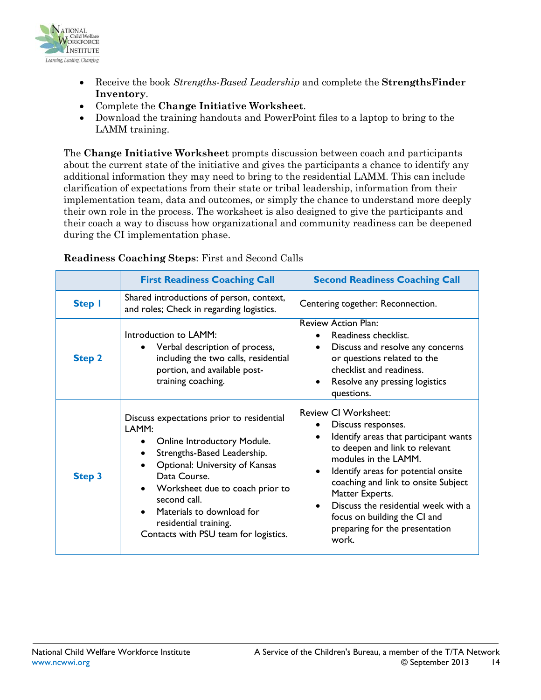

- Receive the book *Strengths-Based Leadership* and complete the **StrengthsFinder Inventory**.
- Complete the **Change Initiative Worksheet**.
- Download the training handouts and PowerPoint files to a laptop to bring to the LAMM training.

The **Change Initiative Worksheet** prompts discussion between coach and participants about the current state of the initiative and gives the participants a chance to identify any additional information they may need to bring to the residential LAMM. This can include clarification of expectations from their state or tribal leadership, information from their implementation team, data and outcomes, or simply the chance to understand more deeply their own role in the process. The worksheet is also designed to give the participants and their coach a way to discuss how organizational and community readiness can be deepened during the CI implementation phase.

|               | <b>First Readiness Coaching Call</b>                                                                                                                                                                                                                                                                                                                         | <b>Second Readiness Coaching Call</b>                                                                                                                                                                                                                                                                                                                                                |  |
|---------------|--------------------------------------------------------------------------------------------------------------------------------------------------------------------------------------------------------------------------------------------------------------------------------------------------------------------------------------------------------------|--------------------------------------------------------------------------------------------------------------------------------------------------------------------------------------------------------------------------------------------------------------------------------------------------------------------------------------------------------------------------------------|--|
| <b>Step I</b> | Shared introductions of person, context,<br>and roles; Check in regarding logistics.                                                                                                                                                                                                                                                                         | Centering together: Reconnection.                                                                                                                                                                                                                                                                                                                                                    |  |
| <b>Step 2</b> | Introduction to LAMM:<br>Verbal description of process,<br>$\bullet$<br>including the two calls, residential<br>portion, and available post-<br>training coaching.                                                                                                                                                                                           | <b>Review Action Plan:</b><br>Readiness checklist.<br>Discuss and resolve any concerns<br>٠<br>or questions related to the<br>checklist and readiness.<br>Resolve any pressing logistics<br>questions.                                                                                                                                                                               |  |
| <b>Step 3</b> | Discuss expectations prior to residential<br>LAMM:<br><b>Online Introductory Module.</b><br>Strengths-Based Leadership.<br>$\bullet$<br><b>Optional: University of Kansas</b><br>Data Course.<br>Worksheet due to coach prior to<br>$\bullet$<br>second call.<br>Materials to download for<br>residential training.<br>Contacts with PSU team for logistics. | <b>Review CI Worksheet:</b><br>Discuss responses.<br>Identify areas that participant wants<br>to deepen and link to relevant<br>modules in the LAMM.<br>Identify areas for potential onsite<br>$\bullet$<br>coaching and link to onsite Subject<br>Matter Experts.<br>Discuss the residential week with a<br>focus on building the CI and<br>preparing for the presentation<br>work. |  |

#### **Readiness Coaching Steps**: First and Second Calls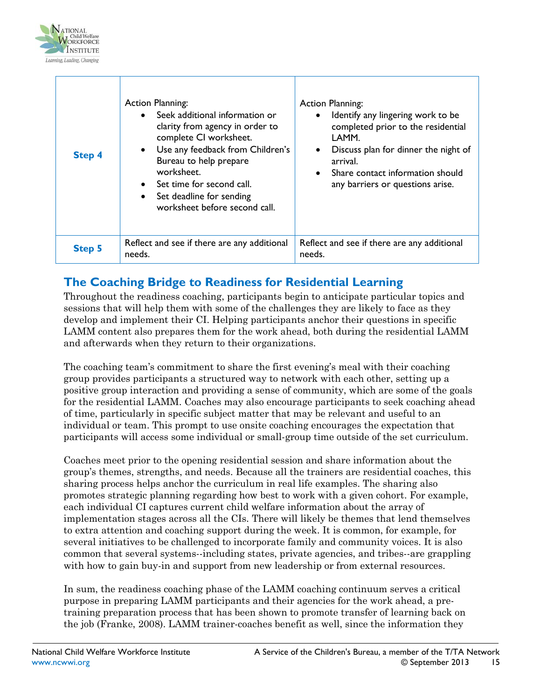

| <b>Step 4</b> | <b>Action Planning:</b><br>• Seek additional information or<br>clarity from agency in order to<br>complete CI worksheet.<br>• Use any feedback from Children's<br>Bureau to help prepare<br>worksheet.<br>Set time for second call.<br>$\bullet$<br>Set deadline for sending<br>$\bullet$<br>worksheet before second call. | <b>Action Planning:</b><br>Identify any lingering work to be<br>completed prior to the residential<br>LAMM.<br>Discuss plan for dinner the night of<br>arrival.<br>Share contact information should<br>any barriers or questions arise. |
|---------------|----------------------------------------------------------------------------------------------------------------------------------------------------------------------------------------------------------------------------------------------------------------------------------------------------------------------------|-----------------------------------------------------------------------------------------------------------------------------------------------------------------------------------------------------------------------------------------|
| <b>Step 5</b> | Reflect and see if there are any additional<br>needs.                                                                                                                                                                                                                                                                      | Reflect and see if there are any additional<br>needs.                                                                                                                                                                                   |

### **The Coaching Bridge to Readiness for Residential Learning**

Throughout the readiness coaching, participants begin to anticipate particular topics and sessions that will help them with some of the challenges they are likely to face as they develop and implement their CI. Helping participants anchor their questions in specific LAMM content also prepares them for the work ahead, both during the residential LAMM and afterwards when they return to their organizations.

The coaching team's commitment to share the first evening's meal with their coaching group provides participants a structured way to network with each other, setting up a positive group interaction and providing a sense of community, which are some of the goals for the residential LAMM. Coaches may also encourage participants to seek coaching ahead of time, particularly in specific subject matter that may be relevant and useful to an individual or team. This prompt to use onsite coaching encourages the expectation that participants will access some individual or small-group time outside of the set curriculum.

Coaches meet prior to the opening residential session and share information about the group's themes, strengths, and needs. Because all the trainers are residential coaches, this sharing process helps anchor the curriculum in real life examples. The sharing also promotes strategic planning regarding how best to work with a given cohort. For example, each individual CI captures current child welfare information about the array of implementation stages across all the CIs. There will likely be themes that lend themselves to extra attention and coaching support during the week. It is common, for example, for several initiatives to be challenged to incorporate family and community voices. It is also common that several systems--including states, private agencies, and tribes--are grappling with how to gain buy-in and support from new leadership or from external resources.

In sum, the readiness coaching phase of the LAMM coaching continuum serves a critical purpose in preparing LAMM participants and their agencies for the work ahead, a pretraining preparation process that has been shown to promote transfer of learning back on the job (Franke, 2008). LAMM trainer-coaches benefit as well, since the information they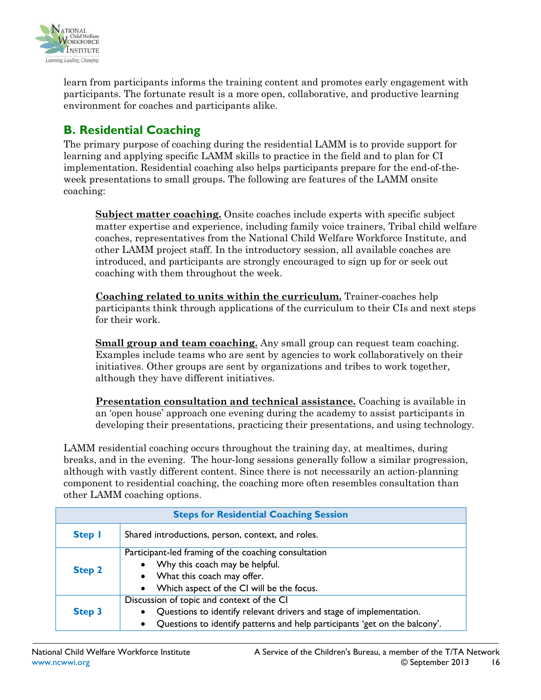

learn from participants informs the training content and promotes early engagement with participants. The fortunate result is a more open, collaborative, and productive learning environment for coaches and participants alike.

# <span id="page-15-0"></span>**B. Residential Coaching**

The primary purpose of coaching during the residential LAMM is to provide support for learning and applying specific LAMM skills to practice in the field and to plan for CI implementation. Residential coaching also helps participants prepare for the end-of-theweek presentations to small groups. The following are features of the LAMM onsite coaching:

**Subject matter coaching.** Onsite coaches include experts with specific subject matter expertise and experience, including family voice trainers, Tribal child welfare coaches, representatives from the National Child Welfare Workforce Institute, and other LAMM project staff. In the introductory session, all available coaches are introduced, and participants are strongly encouraged to sign up for or seek out coaching with them throughout the week.

**Coaching related to units within the curriculum.** Trainer-coaches help participants think through applications of the curriculum to their CIs and next steps for their work.

**Small group and team coaching.** Any small group can request team coaching. Examples include teams who are sent by agencies to work collaboratively on their initiatives. Other groups are sent by organizations and tribes to work together, although they have different initiatives.

**Presentation consultation and technical assistance.** Coaching is available in an 'open house' approach one evening during the academy to assist participants in developing their presentations, practicing their presentations, and using technology.

LAMM residential coaching occurs throughout the training day, at mealtimes, during breaks, and in the evening. The hour-long sessions generally follow a similar progression, although with vastly different content. Since there is not necessarily an action-planning component to residential coaching, the coaching more often resembles consultation than other LAMM coaching options.

| <b>Steps for Residential Coaching Session</b> |                                                                                                                                                                                                                          |  |
|-----------------------------------------------|--------------------------------------------------------------------------------------------------------------------------------------------------------------------------------------------------------------------------|--|
| <b>Step I</b>                                 | Shared introductions, person, context, and roles.                                                                                                                                                                        |  |
| <b>Step 2</b>                                 | Participant-led framing of the coaching consultation<br>• Why this coach may be helpful.<br>• What this coach may offer.<br>• Which aspect of the CI will be the focus.                                                  |  |
| <b>Step 3</b>                                 | Discussion of topic and context of the CI<br>Questions to identify relevant drivers and stage of implementation.<br>$\bullet$<br>Questions to identify patterns and help participants 'get on the balcony'.<br>$\bullet$ |  |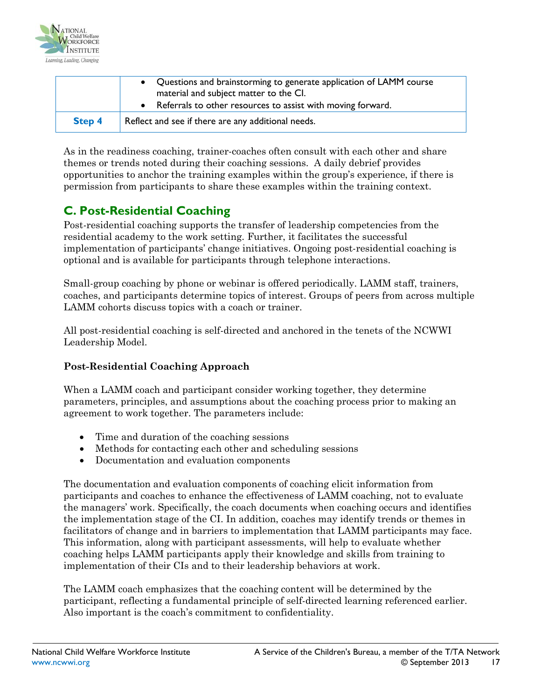

|               | • Questions and brainstorming to generate application of LAMM course<br>material and subject matter to the Cl.<br>• Referrals to other resources to assist with moving forward. |
|---------------|---------------------------------------------------------------------------------------------------------------------------------------------------------------------------------|
| <b>Step 4</b> | Reflect and see if there are any additional needs.                                                                                                                              |

As in the readiness coaching, trainer-coaches often consult with each other and share themes or trends noted during their coaching sessions. A daily debrief provides opportunities to anchor the training examples within the group's experience, if there is permission from participants to share these examples within the training context.

# <span id="page-16-0"></span>**C. Post-Residential Coaching**

Post-residential coaching supports the transfer of leadership competencies from the residential academy to the work setting. Further, it facilitates the successful implementation of participants' change initiatives. Ongoing post-residential coaching is optional and is available for participants through telephone interactions.

Small-group coaching by phone or webinar is offered periodically. LAMM staff, trainers, coaches, and participants determine topics of interest. Groups of peers from across multiple LAMM cohorts discuss topics with a coach or trainer.

All post-residential coaching is self-directed and anchored in the tenets of the NCWWI Leadership Model.

#### **Post-Residential Coaching Approach**

When a LAMM coach and participant consider working together, they determine parameters, principles, and assumptions about the coaching process prior to making an agreement to work together. The parameters include:

- Time and duration of the coaching sessions
- Methods for contacting each other and scheduling sessions
- Documentation and evaluation components

The documentation and evaluation components of coaching elicit information from participants and coaches to enhance the effectiveness of LAMM coaching, not to evaluate the managers' work. Specifically, the coach documents when coaching occurs and identifies the implementation stage of the CI. In addition, coaches may identify trends or themes in facilitators of change and in barriers to implementation that LAMM participants may face. This information, along with participant assessments, will help to evaluate whether coaching helps LAMM participants apply their knowledge and skills from training to implementation of their CIs and to their leadership behaviors at work.

The LAMM coach emphasizes that the coaching content will be determined by the participant, reflecting a fundamental principle of self-directed learning referenced earlier. Also important is the coach's commitment to confidentiality.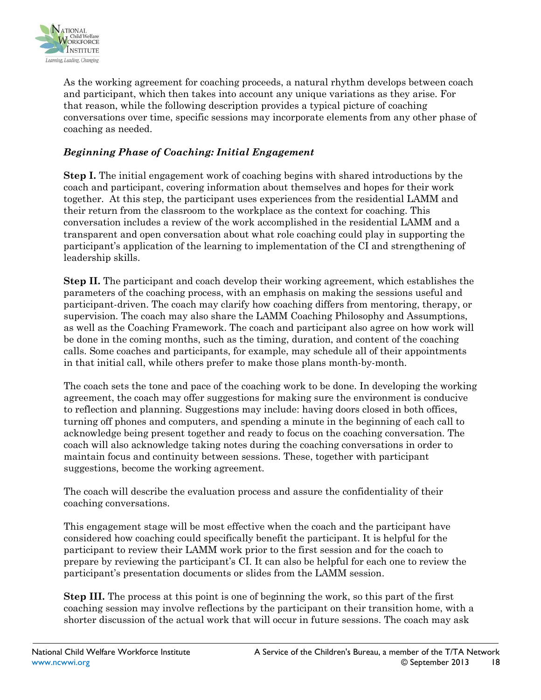

As the working agreement for coaching proceeds, a natural rhythm develops between coach and participant, which then takes into account any unique variations as they arise. For that reason, while the following description provides a typical picture of coaching conversations over time, specific sessions may incorporate elements from any other phase of coaching as needed.

#### *Beginning Phase of Coaching: Initial Engagement*

**Step I.** The initial engagement work of coaching begins with shared introductions by the coach and participant, covering information about themselves and hopes for their work together. At this step, the participant uses experiences from the residential LAMM and their return from the classroom to the workplace as the context for coaching. This conversation includes a review of the work accomplished in the residential LAMM and a transparent and open conversation about what role coaching could play in supporting the participant's application of the learning to implementation of the CI and strengthening of leadership skills.

**Step II.** The participant and coach develop their working agreement, which establishes the parameters of the coaching process, with an emphasis on making the sessions useful and participant-driven. The coach may clarify how coaching differs from mentoring, therapy, or supervision. The coach may also share the LAMM Coaching Philosophy and Assumptions, as well as the Coaching Framework. The coach and participant also agree on how work will be done in the coming months, such as the timing, duration, and content of the coaching calls. Some coaches and participants, for example, may schedule all of their appointments in that initial call, while others prefer to make those plans month-by-month.

The coach sets the tone and pace of the coaching work to be done. In developing the working agreement, the coach may offer suggestions for making sure the environment is conducive to reflection and planning. Suggestions may include: having doors closed in both offices, turning off phones and computers, and spending a minute in the beginning of each call to acknowledge being present together and ready to focus on the coaching conversation. The coach will also acknowledge taking notes during the coaching conversations in order to maintain focus and continuity between sessions. These, together with participant suggestions, become the working agreement.

The coach will describe the evaluation process and assure the confidentiality of their coaching conversations.

This engagement stage will be most effective when the coach and the participant have considered how coaching could specifically benefit the participant. It is helpful for the participant to review their LAMM work prior to the first session and for the coach to prepare by reviewing the participant's CI. It can also be helpful for each one to review the participant's presentation documents or slides from the LAMM session.

**Step III.** The process at this point is one of beginning the work, so this part of the first coaching session may involve reflections by the participant on their transition home, with a shorter discussion of the actual work that will occur in future sessions. The coach may ask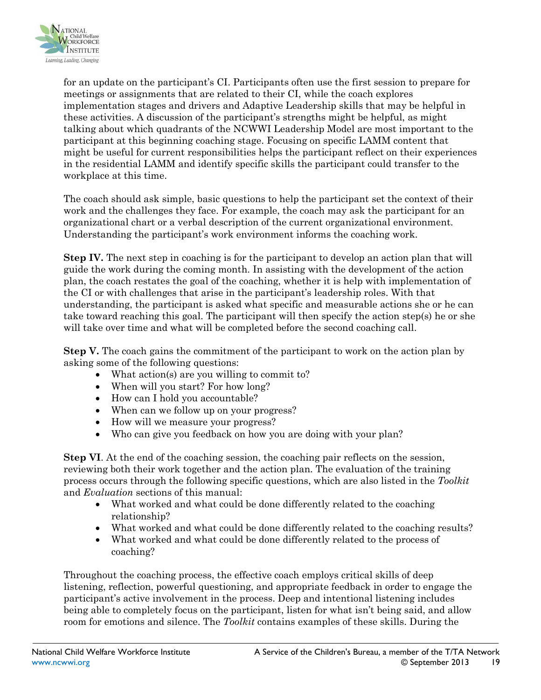

for an update on the participant's CI. Participants often use the first session to prepare for meetings or assignments that are related to their CI, while the coach explores implementation stages and drivers and Adaptive Leadership skills that may be helpful in these activities. A discussion of the participant's strengths might be helpful, as might talking about which quadrants of the NCWWI Leadership Model are most important to the participant at this beginning coaching stage. Focusing on specific LAMM content that might be useful for current responsibilities helps the participant reflect on their experiences in the residential LAMM and identify specific skills the participant could transfer to the workplace at this time.

The coach should ask simple, basic questions to help the participant set the context of their work and the challenges they face. For example, the coach may ask the participant for an organizational chart or a verbal description of the current organizational environment. Understanding the participant's work environment informs the coaching work.

**Step IV.** The next step in coaching is for the participant to develop an action plan that will guide the work during the coming month. In assisting with the development of the action plan, the coach restates the goal of the coaching, whether it is help with implementation of the CI or with challenges that arise in the participant's leadership roles. With that understanding, the participant is asked what specific and measurable actions she or he can take toward reaching this goal. The participant will then specify the action step(s) he or she will take over time and what will be completed before the second coaching call.

**Step V.** The coach gains the commitment of the participant to work on the action plan by asking some of the following questions:

- What action(s) are you willing to commit to?
- When will you start? For how long?
- How can I hold you accountable?
- When can we follow up on your progress?
- How will we measure your progress?
- Who can give you feedback on how you are doing with your plan?

**Step VI.** At the end of the coaching session, the coaching pair reflects on the session, reviewing both their work together and the action plan. The evaluation of the training process occurs through the following specific questions, which are also listed in the *Toolkit* and *Evaluation* sections of this manual:

- What worked and what could be done differently related to the coaching relationship?
- What worked and what could be done differently related to the coaching results?
- What worked and what could be done differently related to the process of coaching?

Throughout the coaching process, the effective coach employs critical skills of deep listening, reflection, powerful questioning, and appropriate feedback in order to engage the participant's active involvement in the process. Deep and intentional listening includes being able to completely focus on the participant, listen for what isn't being said, and allow room for emotions and silence. The *Toolkit* contains examples of these skills. During the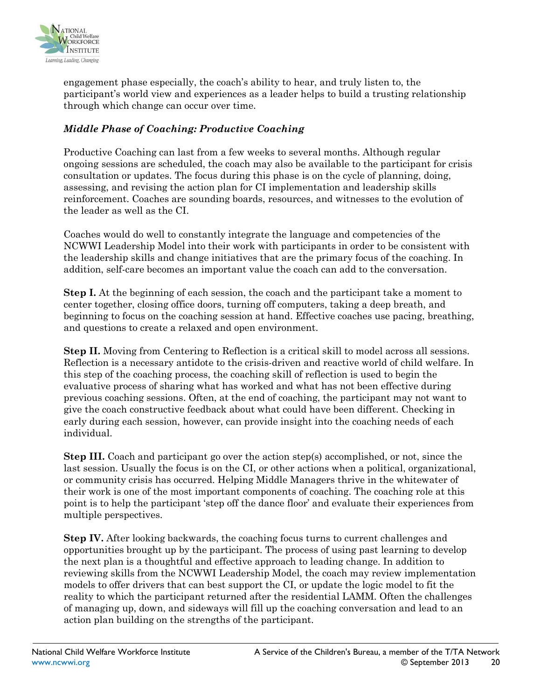

engagement phase especially, the coach's ability to hear, and truly listen to, the participant's world view and experiences as a leader helps to build a trusting relationship through which change can occur over time.

#### *Middle Phase of Coaching: Productive Coaching*

Productive Coaching can last from a few weeks to several months. Although regular ongoing sessions are scheduled, the coach may also be available to the participant for crisis consultation or updates. The focus during this phase is on the cycle of planning, doing, assessing, and revising the action plan for CI implementation and leadership skills reinforcement. Coaches are sounding boards, resources, and witnesses to the evolution of the leader as well as the CI.

Coaches would do well to constantly integrate the language and competencies of the NCWWI Leadership Model into their work with participants in order to be consistent with the leadership skills and change initiatives that are the primary focus of the coaching. In addition, self-care becomes an important value the coach can add to the conversation.

**Step I.** At the beginning of each session, the coach and the participant take a moment to center together, closing office doors, turning off computers, taking a deep breath, and beginning to focus on the coaching session at hand. Effective coaches use pacing, breathing, and questions to create a relaxed and open environment.

**Step II.** Moving from Centering to Reflection is a critical skill to model across all sessions. Reflection is a necessary antidote to the crisis-driven and reactive world of child welfare. In this step of the coaching process, the coaching skill of reflection is used to begin the evaluative process of sharing what has worked and what has not been effective during previous coaching sessions. Often, at the end of coaching, the participant may not want to give the coach constructive feedback about what could have been different. Checking in early during each session, however, can provide insight into the coaching needs of each individual.

**Step III.** Coach and participant go over the action step(s) accomplished, or not, since the last session. Usually the focus is on the CI, or other actions when a political, organizational, or community crisis has occurred. Helping Middle Managers thrive in the whitewater of their work is one of the most important components of coaching. The coaching role at this point is to help the participant 'step off the dance floor' and evaluate their experiences from multiple perspectives.

**Step IV.** After looking backwards, the coaching focus turns to current challenges and opportunities brought up by the participant. The process of using past learning to develop the next plan is a thoughtful and effective approach to leading change. In addition to reviewing skills from the NCWWI Leadership Model, the coach may review implementation models to offer drivers that can best support the CI, or update the logic model to fit the reality to which the participant returned after the residential LAMM. Often the challenges of managing up, down, and sideways will fill up the coaching conversation and lead to an action plan building on the strengths of the participant.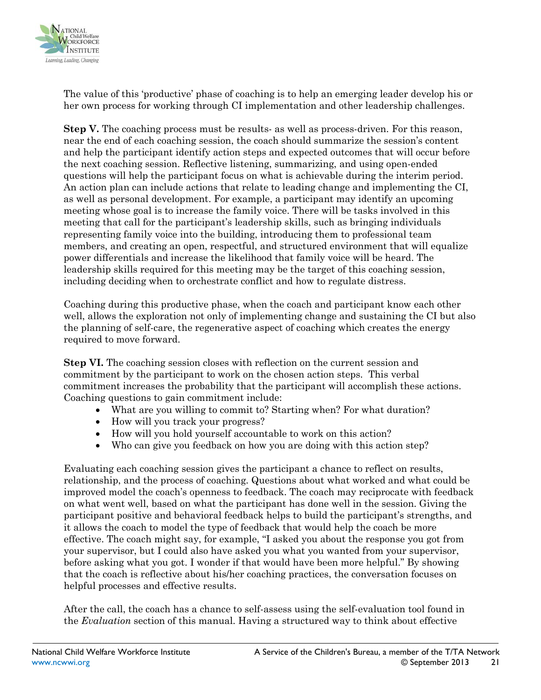

The value of this 'productive' phase of coaching is to help an emerging leader develop his or her own process for working through CI implementation and other leadership challenges.

**Step V.** The coaching process must be results- as well as process-driven. For this reason, near the end of each coaching session, the coach should summarize the session's content and help the participant identify action steps and expected outcomes that will occur before the next coaching session. Reflective listening, summarizing, and using open-ended questions will help the participant focus on what is achievable during the interim period. An action plan can include actions that relate to leading change and implementing the CI, as well as personal development. For example, a participant may identify an upcoming meeting whose goal is to increase the family voice. There will be tasks involved in this meeting that call for the participant's leadership skills, such as bringing individuals representing family voice into the building, introducing them to professional team members, and creating an open, respectful, and structured environment that will equalize power differentials and increase the likelihood that family voice will be heard. The leadership skills required for this meeting may be the target of this coaching session, including deciding when to orchestrate conflict and how to regulate distress.

Coaching during this productive phase, when the coach and participant know each other well, allows the exploration not only of implementing change and sustaining the CI but also the planning of self-care, the regenerative aspect of coaching which creates the energy required to move forward.

**Step VI.** The coaching session closes with reflection on the current session and commitment by the participant to work on the chosen action steps. This verbal commitment increases the probability that the participant will accomplish these actions. Coaching questions to gain commitment include:

- What are you willing to commit to? Starting when? For what duration?
- How will you track your progress?
- How will you hold yourself accountable to work on this action?
- Who can give you feedback on how you are doing with this action step?

Evaluating each coaching session gives the participant a chance to reflect on results, relationship, and the process of coaching. Questions about what worked and what could be improved model the coach's openness to feedback. The coach may reciprocate with feedback on what went well, based on what the participant has done well in the session. Giving the participant positive and behavioral feedback helps to build the participant's strengths, and it allows the coach to model the type of feedback that would help the coach be more effective. The coach might say, for example, "I asked you about the response you got from your supervisor, but I could also have asked you what you wanted from your supervisor, before asking what you got. I wonder if that would have been more helpful." By showing that the coach is reflective about his/her coaching practices, the conversation focuses on helpful processes and effective results.

After the call, the coach has a chance to self-assess using the self-evaluation tool found in the *Evaluation* section of this manual. Having a structured way to think about effective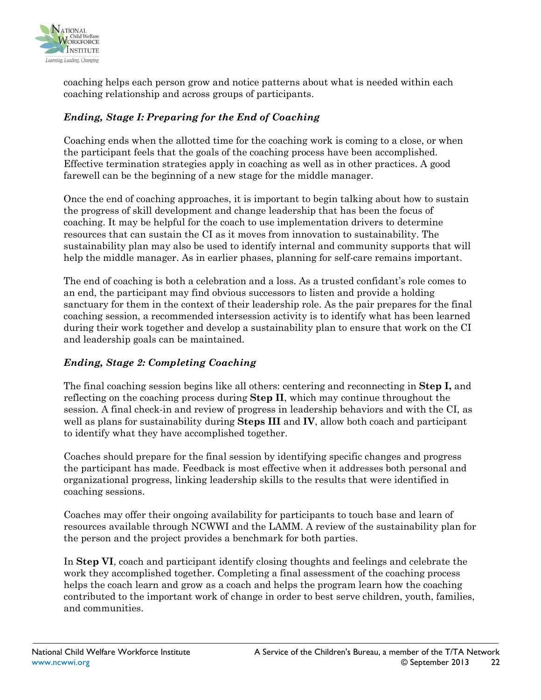

coaching helps each person grow and notice patterns about what is needed within each coaching relationship and across groups of participants.

#### *Ending, Stage I: Preparing for the End of Coaching*

Coaching ends when the allotted time for the coaching work is coming to a close, or when the participant feels that the goals of the coaching process have been accomplished. Effective termination strategies apply in coaching as well as in other practices. A good farewell can be the beginning of a new stage for the middle manager.

Once the end of coaching approaches, it is important to begin talking about how to sustain the progress of skill development and change leadership that has been the focus of coaching. It may be helpful for the coach to use implementation drivers to determine resources that can sustain the CI as it moves from innovation to sustainability. The sustainability plan may also be used to identify internal and community supports that will help the middle manager. As in earlier phases, planning for self-care remains important.

The end of coaching is both a celebration and a loss. As a trusted confidant's role comes to an end, the participant may find obvious successors to listen and provide a holding sanctuary for them in the context of their leadership role. As the pair prepares for the final coaching session, a recommended intersession activity is to identify what has been learned during their work together and develop a sustainability plan to ensure that work on the CI and leadership goals can be maintained.

#### *Ending, Stage 2: Completing Coaching*

The final coaching session begins like all others: centering and reconnecting in **Step I,** and reflecting on the coaching process during **Step II**, which may continue throughout the session. A final check-in and review of progress in leadership behaviors and with the CI, as well as plans for sustainability during **Steps III** and **IV**, allow both coach and participant to identify what they have accomplished together.

Coaches should prepare for the final session by identifying specific changes and progress the participant has made. Feedback is most effective when it addresses both personal and organizational progress, linking leadership skills to the results that were identified in coaching sessions.

Coaches may offer their ongoing availability for participants to touch base and learn of resources available through NCWWI and the LAMM. A review of the sustainability plan for the person and the project provides a benchmark for both parties.

In **Step VI**, coach and participant identify closing thoughts and feelings and celebrate the work they accomplished together. Completing a final assessment of the coaching process helps the coach learn and grow as a coach and helps the program learn how the coaching contributed to the important work of change in order to best serve children, youth, families, and communities.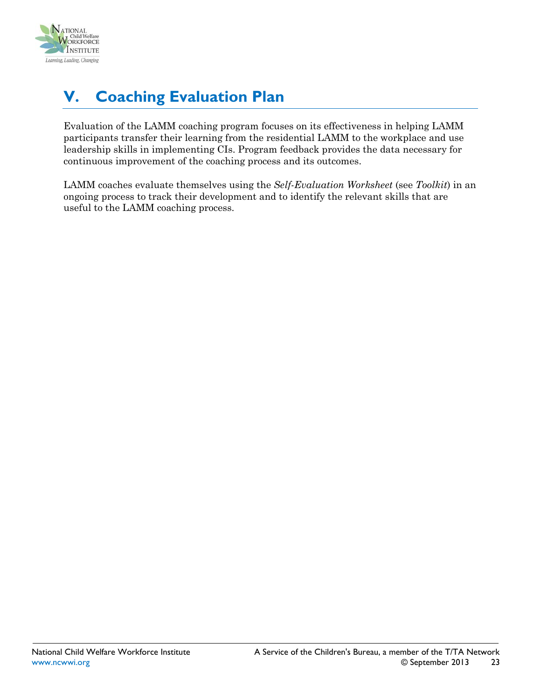

# <span id="page-22-0"></span>**V. Coaching Evaluation Plan**

Evaluation of the LAMM coaching program focuses on its effectiveness in helping LAMM participants transfer their learning from the residential LAMM to the workplace and use leadership skills in implementing CIs. Program feedback provides the data necessary for continuous improvement of the coaching process and its outcomes.

LAMM coaches evaluate themselves using the *Self-Evaluation Worksheet* (see *Toolkit*) in an ongoing process to track their development and to identify the relevant skills that are useful to the LAMM coaching process.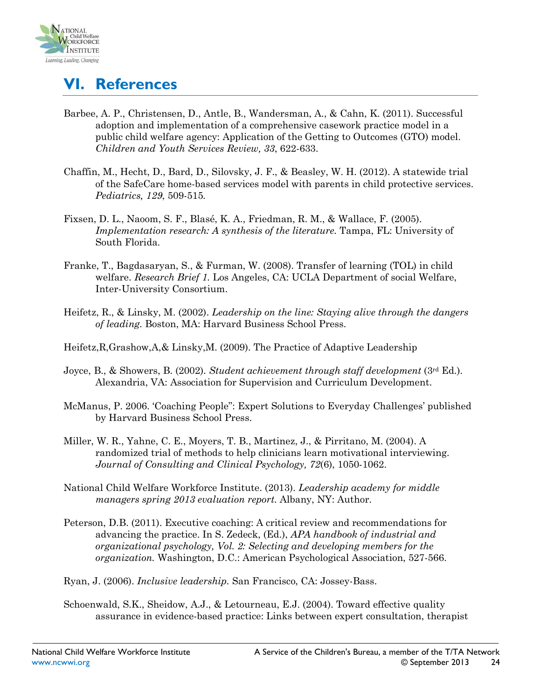

# <span id="page-23-0"></span>**VI. References**

- Barbee, A. P., Christensen, D., Antle, B., Wandersman, A., & Cahn, K. (2011). Successful adoption and implementation of a comprehensive casework practice model in a public child welfare agency: Application of the Getting to Outcomes (GTO) model. *Children and Youth Services Review, 33*, 622-633.
- Chaffin, M., Hecht, D., Bard, D., Silovsky, J. F., & Beasley, W. H. (2012). A statewide trial of the SafeCare home-based services model with parents in child protective services. *Pediatrics, 129*, 509-515*.*
- Fixsen, D. L., Naoom, S. F., Blasé, K. A., Friedman, R. M., & Wallace, F. (2005). *Implementation research: A synthesis of the literature.* Tampa, FL: University of South Florida.
- Franke, T., Bagdasaryan, S., & Furman, W. (2008). Transfer of learning (TOL) in child welfare. *Research Brief 1.* Los Angeles, CA: UCLA Department of social Welfare, Inter-University Consortium.
- Heifetz, R., & Linsky, M. (2002). *Leadership on the line: Staying alive through the dangers of leading.* Boston, MA: Harvard Business School Press.

Heifetz,R,Grashow,A,& Linsky,M. (2009). The Practice of Adaptive Leadership

- Joyce, B., & Showers, B. (2002). *Student achievement through staff development* (3rd Ed.). Alexandria, VA: Association for Supervision and Curriculum Development.
- McManus, P. 2006. 'Coaching People": Expert Solutions to Everyday Challenges' published by Harvard Business School Press.
- Miller, W. R., Yahne, C. E., Moyers, T. B., Martinez, J., & Pirritano, M. (2004). A randomized trial of methods to help clinicians learn motivational interviewing. *Journal of Consulting and Clinical Psychology, 72*(6), 1050-1062.
- National Child Welfare Workforce Institute. (2013). *Leadership academy for middle managers spring 2013 evaluation report.* Albany, NY: Author.
- Peterson, D.B. (2011). Executive coaching: A critical review and recommendations for advancing the practice. In S. Zedeck, (Ed.), *APA handbook of industrial and organizational psychology, Vol. 2: Selecting and developing members for the organization.* Washington, D.C.: American Psychological Association, 527-566.

Ryan, J. (2006). *Inclusive leadership.* San Francisco, CA: Jossey-Bass.

Schoenwald, S.K., Sheidow, A.J., & Letourneau, E.J. (2004). Toward effective quality assurance in evidence-based practice: Links between expert consultation, therapist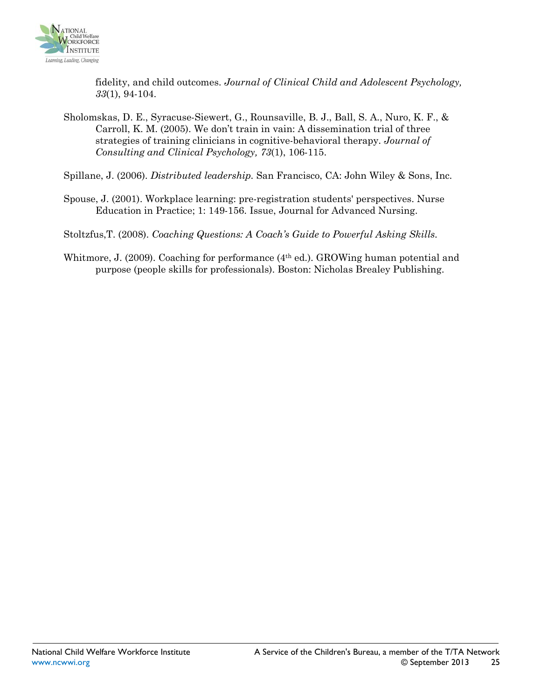

fidelity, and child outcomes. *Journal of Clinical Child and Adolescent Psychology, 33*(1), 94-104.

Sholomskas, D. E., Syracuse-Siewert, G., Rounsaville, B. J., Ball, S. A., Nuro, K. F., & Carroll, K. M. (2005). We don't train in vain: A dissemination trial of three strategies of training clinicians in cognitive-behavioral therapy. *Journal of Consulting and Clinical Psychology, 73*(1), 106-115.

Spillane, J. (2006). *Distributed leadership.* San Francisco, CA: John Wiley & Sons, Inc.

Spouse, J. (2001). Workplace learning: pre-registration students' perspectives. Nurse Education in Practice; 1: 149-156. Issue, Journal for Advanced Nursing.

Stoltzfus,T. (2008). *Coaching Questions: A Coach's Guide to Powerful Asking Skills.*

Whitmore, J. (2009). Coaching for performance (4<sup>th</sup> ed.). GROWing human potential and purpose (people skills for professionals). Boston: Nicholas Brealey Publishing.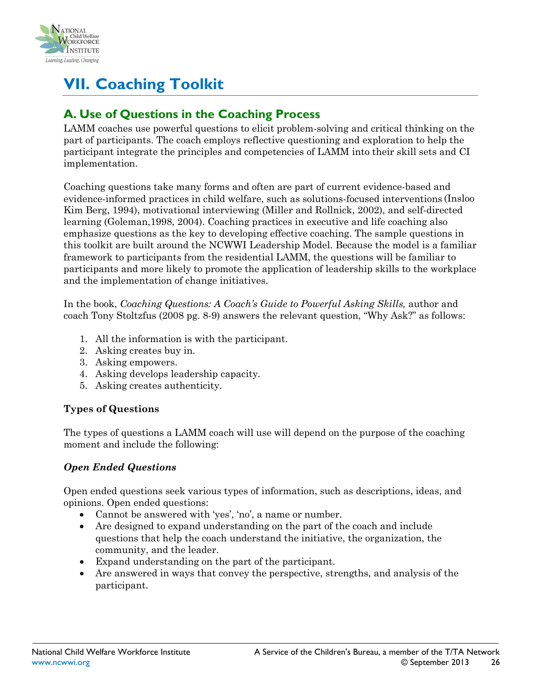

# <span id="page-25-0"></span>**VII. Coaching Toolkit**

### <span id="page-25-1"></span>**A. Use of Questions in the Coaching Process**

LAMM coaches use powerful questions to elicit problem-solving and critical thinking on the part of participants. The coach employs reflective questioning and exploration to help the participant integrate the principles and competencies of LAMM into their skill sets and CI implementation.

Coaching questions take many forms and often are part of current evidence-based and evidence-informed practices in child welfare, such as solutions-focused interventions (Insloo Kim Berg, 1994), motivational interviewing (Miller and Rollnick, 2002), and self-directed learning (Goleman,1998, 2004). Coaching practices in executive and life coaching also emphasize questions as the key to developing effective coaching. The sample questions in this toolkit are built around the NCWWI Leadership Model. Because the model is a familiar framework to participants from the residential LAMM, the questions will be familiar to participants and more likely to promote the application of leadership skills to the workplace and the implementation of change initiatives.

In the book, *Coaching Questions: A Coach's Guide to Powerful Asking Skills,* author and coach Tony Stoltzfus (2008 pg. 8-9) answers the relevant question, "Why Ask?" as follows:

- 1. All the information is with the participant.
- 2. Asking creates buy in.
- 3. Asking empowers.
- 4. Asking develops leadership capacity.
- 5. Asking creates authenticity.

#### **Types of Questions**

The types of questions a LAMM coach will use will depend on the purpose of the coaching moment and include the following:

#### *Open Ended Questions*

Open ended questions seek various types of information, such as descriptions, ideas, and opinions. Open ended questions:

- Cannot be answered with 'yes', 'no', a name or number.
- Are designed to expand understanding on the part of the coach and include questions that help the coach understand the initiative, the organization, the community, and the leader.
- Expand understanding on the part of the participant.
- Are answered in ways that convey the perspective, strengths, and analysis of the participant.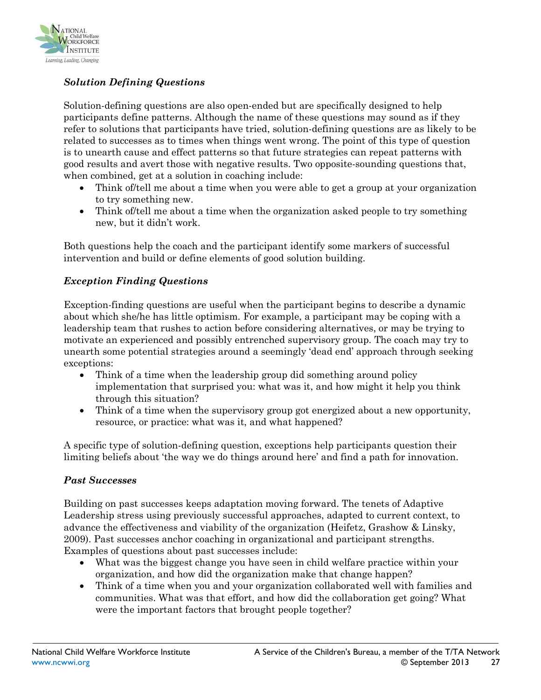

#### *Solution Defining Questions*

Solution-defining questions are also open-ended but are specifically designed to help participants define patterns. Although the name of these questions may sound as if they refer to solutions that participants have tried, solution-defining questions are as likely to be related to successes as to times when things went wrong. The point of this type of question is to unearth cause and effect patterns so that future strategies can repeat patterns with good results and avert those with negative results. Two opposite-sounding questions that, when combined, get at a solution in coaching include:

- Think of / tell me about a time when you were able to get a group at your organization to try something new.
- Think of/tell me about a time when the organization asked people to try something new, but it didn't work.

Both questions help the coach and the participant identify some markers of successful intervention and build or define elements of good solution building.

#### *Exception Finding Questions*

Exception-finding questions are useful when the participant begins to describe a dynamic about which she/he has little optimism. For example, a participant may be coping with a leadership team that rushes to action before considering alternatives, or may be trying to motivate an experienced and possibly entrenched supervisory group. The coach may try to unearth some potential strategies around a seemingly 'dead end' approach through seeking exceptions:

- Think of a time when the leadership group did something around policy implementation that surprised you: what was it, and how might it help you think through this situation?
- Think of a time when the supervisory group got energized about a new opportunity, resource, or practice: what was it, and what happened?

A specific type of solution-defining question, exceptions help participants question their limiting beliefs about 'the way we do things around here' and find a path for innovation.

#### *Past Successes*

Building on past successes keeps adaptation moving forward. The tenets of Adaptive Leadership stress using previously successful approaches, adapted to current context, to advance the effectiveness and viability of the organization (Heifetz, Grashow & Linsky, 2009). Past successes anchor coaching in organizational and participant strengths. Examples of questions about past successes include:

- What was the biggest change you have seen in child welfare practice within your organization, and how did the organization make that change happen?
- Think of a time when you and your organization collaborated well with families and communities. What was that effort, and how did the collaboration get going? What were the important factors that brought people together?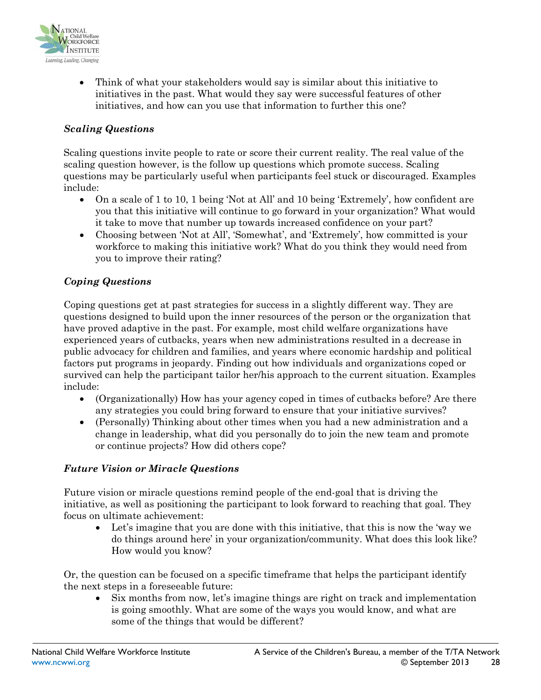

• Think of what your stakeholders would say is similar about this initiative to initiatives in the past. What would they say were successful features of other initiatives, and how can you use that information to further this one?

#### *Scaling Questions*

Scaling questions invite people to rate or score their current reality. The real value of the scaling question however, is the follow up questions which promote success. Scaling questions may be particularly useful when participants feel stuck or discouraged. Examples include:

- On a scale of 1 to 10, 1 being 'Not at All' and 10 being 'Extremely', how confident are you that this initiative will continue to go forward in your organization? What would it take to move that number up towards increased confidence on your part?
- Choosing between 'Not at All', 'Somewhat', and 'Extremely', how committed is your workforce to making this initiative work? What do you think they would need from you to improve their rating?

#### *Coping Questions*

Coping questions get at past strategies for success in a slightly different way. They are questions designed to build upon the inner resources of the person or the organization that have proved adaptive in the past. For example, most child welfare organizations have experienced years of cutbacks, years when new administrations resulted in a decrease in public advocacy for children and families, and years where economic hardship and political factors put programs in jeopardy. Finding out how individuals and organizations coped or survived can help the participant tailor her/his approach to the current situation. Examples include:

- (Organizationally) How has your agency coped in times of cutbacks before? Are there any strategies you could bring forward to ensure that your initiative survives?
- (Personally) Thinking about other times when you had a new administration and a change in leadership, what did you personally do to join the new team and promote or continue projects? How did others cope?

#### *Future Vision or Miracle Questions*

Future vision or miracle questions remind people of the end-goal that is driving the initiative, as well as positioning the participant to look forward to reaching that goal. They focus on ultimate achievement:

• Let's imagine that you are done with this initiative, that this is now the 'way we do things around here' in your organization/community. What does this look like? How would you know?

Or, the question can be focused on a specific timeframe that helps the participant identify the next steps in a foreseeable future:

• Six months from now, let's imagine things are right on track and implementation is going smoothly. What are some of the ways you would know, and what are some of the things that would be different?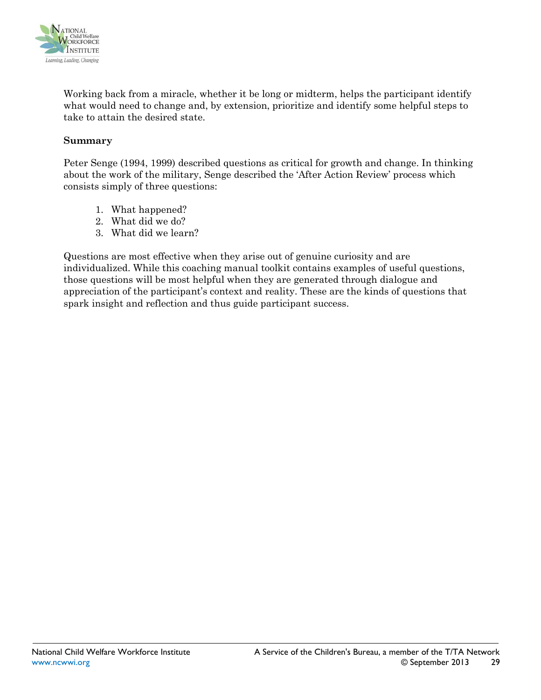

Working back from a miracle, whether it be long or midterm, helps the participant identify what would need to change and, by extension, prioritize and identify some helpful steps to take to attain the desired state.

#### **Summary**

Peter Senge (1994, 1999) described questions as critical for growth and change. In thinking about the work of the military, Senge described the 'After Action Review' process which consists simply of three questions:

- 1. What happened?
- 2. What did we do?
- 3. What did we learn?

Questions are most effective when they arise out of genuine curiosity and are individualized. While this coaching manual toolkit contains examples of useful questions, those questions will be most helpful when they are generated through dialogue and appreciation of the participant's context and reality. These are the kinds of questions that spark insight and reflection and thus guide participant success.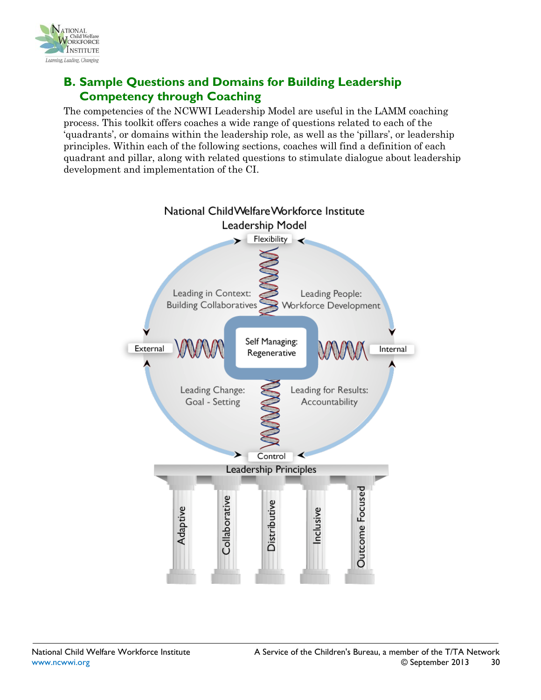

## <span id="page-29-0"></span>**B. Sample Questions and Domains for Building Leadership Competency through Coaching**

The competencies of the NCWWI Leadership Model are useful in the LAMM coaching process. This toolkit offers coaches a wide range of questions related to each of the 'quadrants', or domains within the leadership role, as well as the 'pillars', or leadership principles. Within each of the following sections, coaches will find a definition of each quadrant and pillar, along with related questions to stimulate dialogue about leadership development and implementation of the CI.

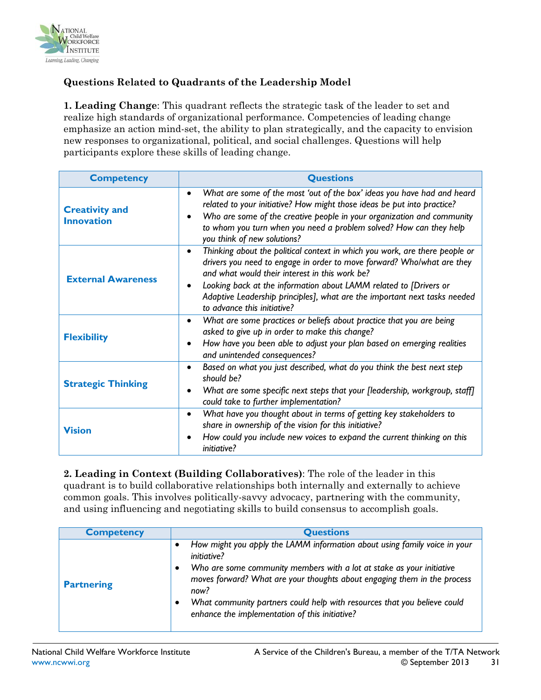

#### **Questions Related to Quadrants of the Leadership Model**

**1. Leading Change**: This quadrant reflects the strategic task of the leader to set and realize high standards of organizational performance. Competencies of leading change emphasize an action mind-set, the ability to plan strategically, and the capacity to envision new responses to organizational, political, and social challenges. Questions will help participants explore these skills of leading change.

| <b>Competency</b>                          | <b>Questions</b>                                                                                                                                                                                                                                                                                                                                                                                      |
|--------------------------------------------|-------------------------------------------------------------------------------------------------------------------------------------------------------------------------------------------------------------------------------------------------------------------------------------------------------------------------------------------------------------------------------------------------------|
| <b>Creativity and</b><br><b>Innovation</b> | What are some of the most 'out of the box' ideas you have had and heard<br>$\bullet$<br>related to your initiative? How might those ideas be put into practice?<br>Who are some of the creative people in your organization and community<br>to whom you turn when you need a problem solved? How can they help<br>you think of new solutions?                                                        |
| <b>External Awareness</b>                  | Thinking about the political context in which you work, are there people or<br>$\bullet$<br>drivers you need to engage in order to move forward? Who/what are they<br>and what would their interest in this work be?<br>Looking back at the information about LAMM related to [Drivers or<br>Adaptive Leadership principles], what are the important next tasks needed<br>to advance this initiative? |
| <b>Flexibility</b>                         | What are some practices or beliefs about practice that you are being<br>$\bullet$<br>asked to give up in order to make this change?<br>How have you been able to adjust your plan based on emerging realities<br>and unintended consequences?                                                                                                                                                         |
| <b>Strategic Thinking</b>                  | Based on what you just described, what do you think the best next step<br>$\bullet$<br>should be?<br>What are some specific next steps that your [leadership, workgroup, staff]<br>could take to further implementation?                                                                                                                                                                              |
| <b>Vision</b>                              | What have you thought about in terms of getting key stakeholders to<br>$\bullet$<br>share in ownership of the vision for this initiative?<br>How could you include new voices to expand the current thinking on this<br>initiative?                                                                                                                                                                   |

**2. Leading in Context (Building Collaboratives)**: The role of the leader in this quadrant is to build collaborative relationships both internally and externally to achieve common goals. This involves politically-savvy advocacy, partnering with the community, and using influencing and negotiating skills to build consensus to accomplish goals.

| <b>Competency</b> | <b>Questions</b>                                                                                                                                                                                                                                                                                                                                                                           |
|-------------------|--------------------------------------------------------------------------------------------------------------------------------------------------------------------------------------------------------------------------------------------------------------------------------------------------------------------------------------------------------------------------------------------|
| <b>Partnering</b> | How might you apply the LAMM information about using family voice in your<br><i>initiative?</i><br>Who are some community members with a lot at stake as your initiative<br>moves forward? What are your thoughts about engaging them in the process<br>now?<br>What community partners could help with resources that you believe could<br>enhance the implementation of this initiative? |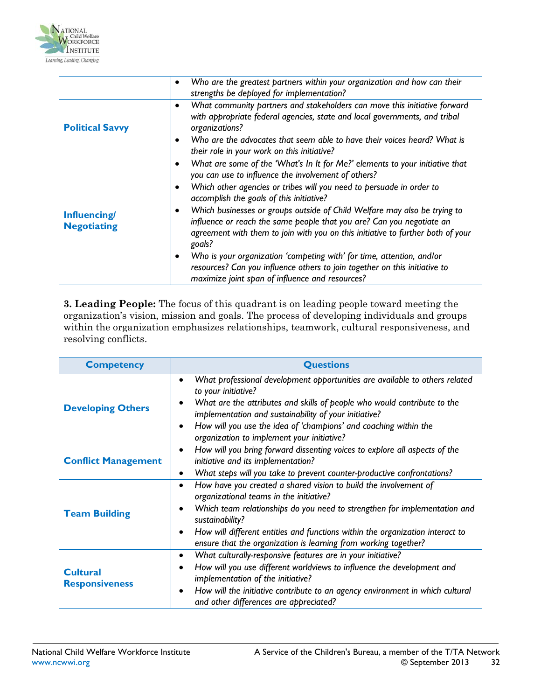

|                                    | Who are the greatest partners within your organization and how can their<br>$\bullet$<br>strengths be deployed for implementation?                                                                                                                                                                                                                                                                                                                                                                                                                                                                                                                                                                                   |
|------------------------------------|----------------------------------------------------------------------------------------------------------------------------------------------------------------------------------------------------------------------------------------------------------------------------------------------------------------------------------------------------------------------------------------------------------------------------------------------------------------------------------------------------------------------------------------------------------------------------------------------------------------------------------------------------------------------------------------------------------------------|
| <b>Political Savvy</b>             | What community partners and stakeholders can move this initiative forward<br>with appropriate federal agencies, state and local governments, and tribal<br>organizations?<br>Who are the advocates that seem able to have their voices heard? What is<br>their role in your work on this initiative?                                                                                                                                                                                                                                                                                                                                                                                                                 |
| Influencing/<br><b>Negotiating</b> | What are some of the 'What's In It for Me?' elements to your initiative that<br>you can use to influence the involvement of others?<br>Which other agencies or tribes will you need to persuade in order to<br>accomplish the goals of this initiative?<br>Which businesses or groups outside of Child Welfare may also be trying to<br>influence or reach the same people that you are? Can you negotiate an<br>agreement with them to join with you on this initiative to further both of your<br>goals?<br>Who is your organization 'competing with' for time, attention, and/or<br>resources? Can you influence others to join together on this initiative to<br>maximize joint span of influence and resources? |

**3. Leading People:** The focus of this quadrant is on leading people toward meeting the organization's vision, mission and goals. The process of developing individuals and groups within the organization emphasizes relationships, teamwork, cultural responsiveness, and resolving conflicts.

| <b>Competency</b>                        | <b>Questions</b>                                                                                                                                                                                                                                                                                                                                                                                       |  |
|------------------------------------------|--------------------------------------------------------------------------------------------------------------------------------------------------------------------------------------------------------------------------------------------------------------------------------------------------------------------------------------------------------------------------------------------------------|--|
| <b>Developing Others</b>                 | What professional development opportunities are available to others related<br>$\bullet$<br>to your initiative?<br>What are the attributes and skills of people who would contribute to the<br>$\bullet$<br>implementation and sustainability of your initiative?<br>How will you use the idea of 'champions' and coaching within the<br>$\bullet$<br>organization to implement your initiative?       |  |
| <b>Conflict Management</b>               | How will you bring forward dissenting voices to explore all aspects of the<br>$\bullet$<br>initiative and its implementation?<br>What steps will you take to prevent counter-productive confrontations?<br>$\bullet$                                                                                                                                                                                   |  |
| <b>Team Building</b>                     | How have you created a shared vision to build the involvement of<br>$\bullet$<br>organizational teams in the initiative?<br>Which team relationships do you need to strengthen for implementation and<br>$\bullet$<br>sustainability?<br>How will different entities and functions within the organization interact to<br>$\bullet$<br>ensure that the organization is learning from working together? |  |
| <b>Cultural</b><br><b>Responsiveness</b> | What culturally-responsive features are in your initiative?<br>$\bullet$<br>How will you use different worldviews to influence the development and<br>$\bullet$<br>implementation of the initiative?<br>How will the initiative contribute to an agency environment in which cultural<br>$\bullet$<br>and other differences are appreciated?                                                           |  |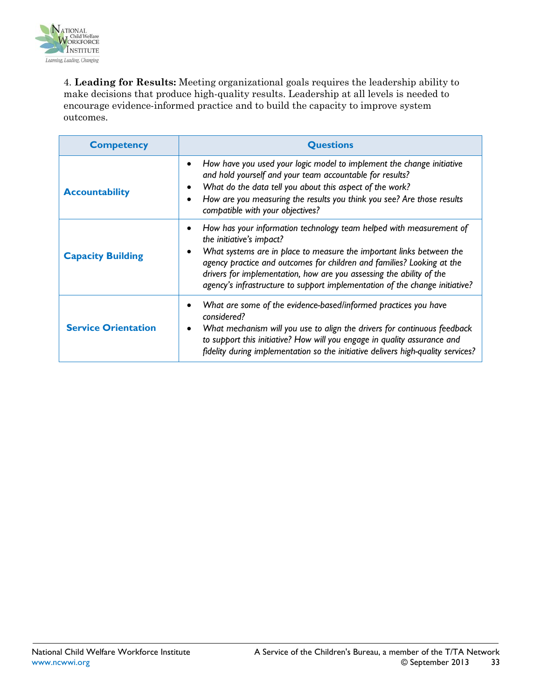

4. **Leading for Results:** Meeting organizational goals requires the leadership ability to make decisions that produce high-quality results. Leadership at all levels is needed to encourage evidence-informed practice and to build the capacity to improve system outcomes.

| <b>Competency</b>          | <b>Questions</b>                                                                                                                                                                                                                                                                                                                                                                                         |
|----------------------------|----------------------------------------------------------------------------------------------------------------------------------------------------------------------------------------------------------------------------------------------------------------------------------------------------------------------------------------------------------------------------------------------------------|
| <b>Accountability</b>      | How have you used your logic model to implement the change initiative<br>and hold yourself and your team accountable for results?<br>What do the data tell you about this aspect of the work?<br>How are you measuring the results you think you see? Are those results<br>compatible with your objectives?                                                                                              |
| <b>Capacity Building</b>   | How has your information technology team helped with measurement of<br>the initiative's impact?<br>What systems are in place to measure the important links between the<br>agency practice and outcomes for children and families? Looking at the<br>drivers for implementation, how are you assessing the ability of the<br>agency's infrastructure to support implementation of the change initiative? |
| <b>Service Orientation</b> | What are some of the evidence-based/informed practices you have<br>considered?<br>What mechanism will you use to align the drivers for continuous feedback<br>to support this initiative? How will you engage in quality assurance and<br>fidelity during implementation so the initiative delivers high-quality services?                                                                               |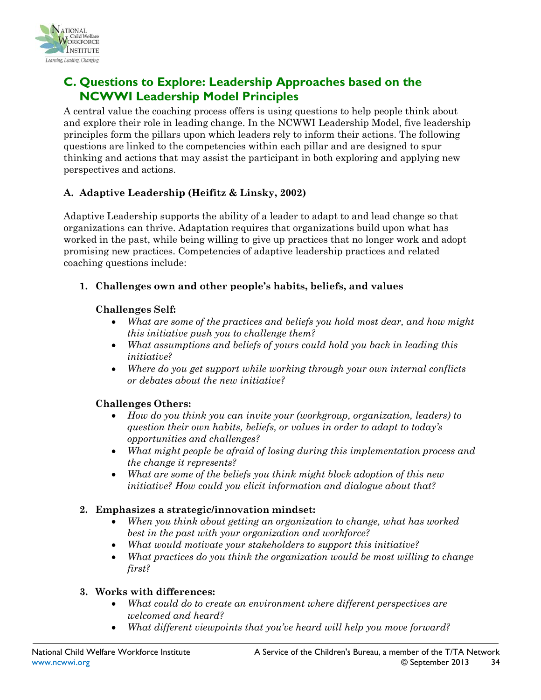

# <span id="page-33-0"></span>**C. Questions to Explore: Leadership Approaches based on the NCWWI Leadership Model Principles**

A central value the coaching process offers is using questions to help people think about and explore their role in leading change. In the NCWWI Leadership Model, five leadership principles form the pillars upon which leaders rely to inform their actions. The following questions are linked to the competencies within each pillar and are designed to spur thinking and actions that may assist the participant in both exploring and applying new perspectives and actions.

#### **A. Adaptive Leadership (Heifitz & Linsky, 2002)**

Adaptive Leadership supports the ability of a leader to adapt to and lead change so that organizations can thrive. Adaptation requires that organizations build upon what has worked in the past, while being willing to give up practices that no longer work and adopt promising new practices. Competencies of adaptive leadership practices and related coaching questions include:

**1. Challenges own and other people's habits, beliefs, and values**

#### **Challenges Self:**

- *What are some of the practices and beliefs you hold most dear, and how might this initiative push you to challenge them?*
- *What assumptions and beliefs of yours could hold you back in leading this initiative?*
- *Where do you get support while working through your own internal conflicts or debates about the new initiative?*

#### **Challenges Others:**

- *How do you think you can invite your (workgroup, organization, leaders) to question their own habits, beliefs, or values in order to adapt to today's opportunities and challenges?*
- *What might people be afraid of losing during this implementation process and the change it represents?*
- *What are some of the beliefs you think might block adoption of this new initiative? How could you elicit information and dialogue about that?*

#### **2. Emphasizes a strategic/innovation mindset:**

- *When you think about getting an organization to change, what has worked best in the past with your organization and workforce?*
- *What would motivate your stakeholders to support this initiative?*
- *What practices do you think the organization would be most willing to change first?*

#### **3. Works with differences:**

- *What could do to create an environment where different perspectives are welcomed and heard?*
- *What different viewpoints that you've heard will help you move forward?*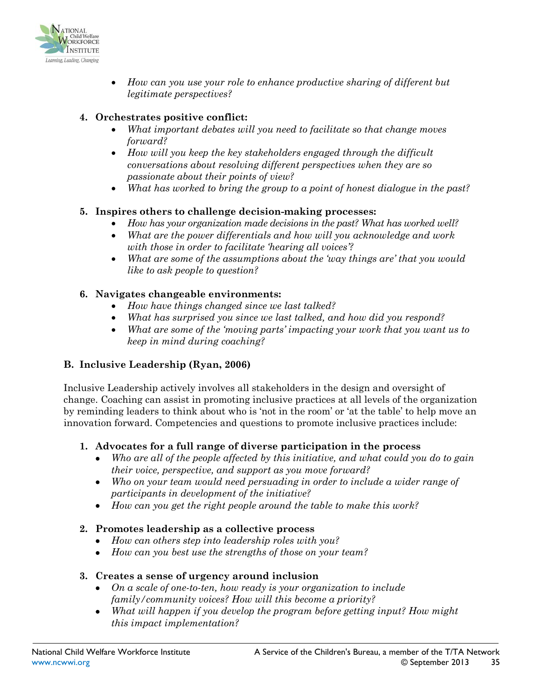

• *How can you use your role to enhance productive sharing of different but legitimate perspectives?*

#### **4. Orchestrates positive conflict:**

- *What important debates will you need to facilitate so that change moves forward?*
- *How will you keep the key stakeholders engaged through the difficult conversations about resolving different perspectives when they are so passionate about their points of view?*
- *What has worked to bring the group to a point of honest dialogue in the past?*

#### **5. Inspires others to challenge decision-making processes:**

- *How has your organization made decisions in the past? What has worked well?*
- *What are the power differentials and how will you acknowledge and work with those in order to facilitate 'hearing all voices'?*
- *What are some of the assumptions about the 'way things are' that you would like to ask people to question?*

#### **6. Navigates changeable environments:**

- *How have things changed since we last talked?*
- *What has surprised you since we last talked, and how did you respond?*
- *What are some of the 'moving parts' impacting your work that you want us to keep in mind during coaching?*

#### **B. Inclusive Leadership (Ryan, 2006)**

Inclusive Leadership actively involves all stakeholders in the design and oversight of change. Coaching can assist in promoting inclusive practices at all levels of the organization by reminding leaders to think about who is 'not in the room' or 'at the table' to help move an innovation forward. Competencies and questions to promote inclusive practices include:

#### **1. Advocates for a full range of diverse participation in the process**

- *Who are all of the people affected by this initiative, and what could you do to gain their voice, perspective, and support as you move forward?*
- *Who on your team would need persuading in order to include a wider range of participants in development of the initiative?*
- *How can you get the right people around the table to make this work?*

#### **2. Promotes leadership as a collective process**

- *How can others step into leadership roles with you?*
- *How can you best use the strengths of those on your team?*

#### **3. Creates a sense of urgency around inclusion**

- *On a scale of one-to-ten, how ready is your organization to include family/community voices? How will this become a priority?*
- *What will happen if you develop the program before getting input? How might this impact implementation?*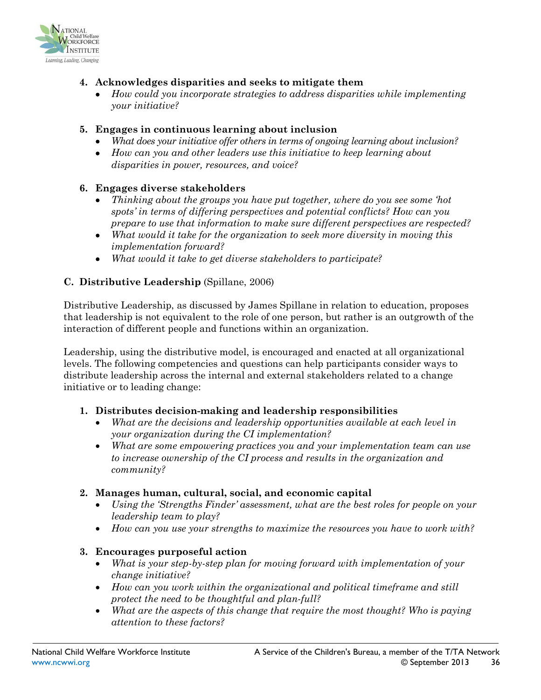

#### **4. Acknowledges disparities and seeks to mitigate them**

• *How could you incorporate strategies to address disparities while implementing your initiative?*

#### **5. Engages in continuous learning about inclusion**

- *What does your initiative offer others in terms of ongoing learning about inclusion?*
- *How can you and other leaders use this initiative to keep learning about disparities in power, resources, and voice?*

#### **6. Engages diverse stakeholders**

- *Thinking about the groups you have put together, where do you see some 'hot spots' in terms of differing perspectives and potential conflicts? How can you prepare to use that information to make sure different perspectives are respected?*
- *What would it take for the organization to seek more diversity in moving this implementation forward?*
- *What would it take to get diverse stakeholders to participate?*

#### **C. Distributive Leadership** (Spillane, 2006)

Distributive Leadership, as discussed by James Spillane in relation to education, proposes that leadership is not equivalent to the role of one person, but rather is an outgrowth of the interaction of different people and functions within an organization.

Leadership, using the distributive model, is encouraged and enacted at all organizational levels. The following competencies and questions can help participants consider ways to distribute leadership across the internal and external stakeholders related to a change initiative or to leading change:

#### **1. Distributes decision-making and leadership responsibilities**

- *What are the decisions and leadership opportunities available at each level in your organization during the CI implementation?*
- *What are some empowering practices you and your implementation team can use to increase ownership of the CI process and results in the organization and community?*

#### **2. Manages human, cultural, social, and economic capital**

- *Using the 'Strengths Finder' assessment, what are the best roles for people on your leadership team to play?*
- *How can you use your strengths to maximize the resources you have to work with?*

#### **3. Encourages purposeful action**

- *What is your step-by-step plan for moving forward with implementation of your change initiative?*
- *How can you work within the organizational and political timeframe and still protect the need to be thoughtful and plan-full?*
- *What are the aspects of this change that require the most thought? Who is paying attention to these factors?*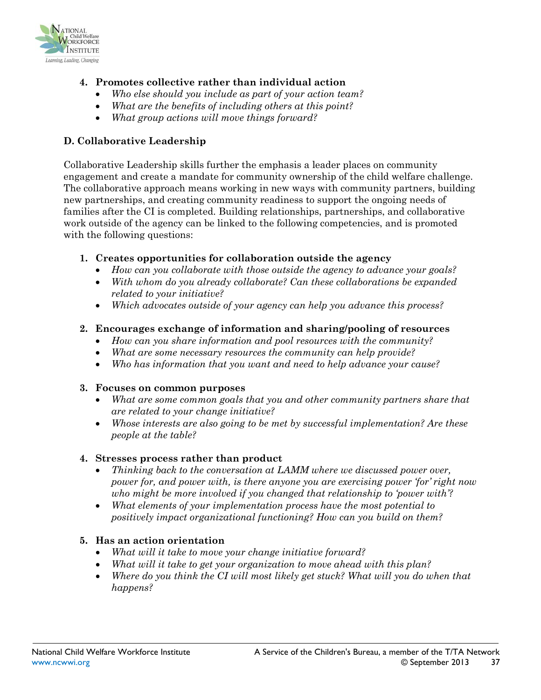

- **4. Promotes collective rather than individual action**
	- *Who else should you include as part of your action team?*
	- *What are the benefits of including others at this point?*
	- *What group actions will move things forward?*

#### **D. Collaborative Leadership**

Collaborative Leadership skills further the emphasis a leader places on community engagement and create a mandate for community ownership of the child welfare challenge. The collaborative approach means working in new ways with community partners, building new partnerships, and creating community readiness to support the ongoing needs of families after the CI is completed. Building relationships, partnerships, and collaborative work outside of the agency can be linked to the following competencies, and is promoted with the following questions:

- **1. Creates opportunities for collaboration outside the agency**
	- *How can you collaborate with those outside the agency to advance your goals?*
	- *With whom do you already collaborate? Can these collaborations be expanded related to your initiative?*
	- *Which advocates outside of your agency can help you advance this process?*

#### **2. Encourages exchange of information and sharing/pooling of resources**

- *How can you share information and pool resources with the community?*
- *What are some necessary resources the community can help provide?*
- *Who has information that you want and need to help advance your cause?*

#### **3. Focuses on common purposes**

- *What are some common goals that you and other community partners share that are related to your change initiative?*
- *Whose interests are also going to be met by successful implementation? Are these people at the table?*

#### **4. Stresses process rather than product**

- *Thinking back to the conversation at LAMM where we discussed power over, power for, and power with, is there anyone you are exercising power 'for' right now who might be more involved if you changed that relationship to 'power with'?*
- *What elements of your implementation process have the most potential to positively impact organizational functioning? How can you build on them?*

#### **5. Has an action orientation**

- *What will it take to move your change initiative forward?*
- *What will it take to get your organization to move ahead with this plan?*
- *Where do you think the CI will most likely get stuck? What will you do when that happens?*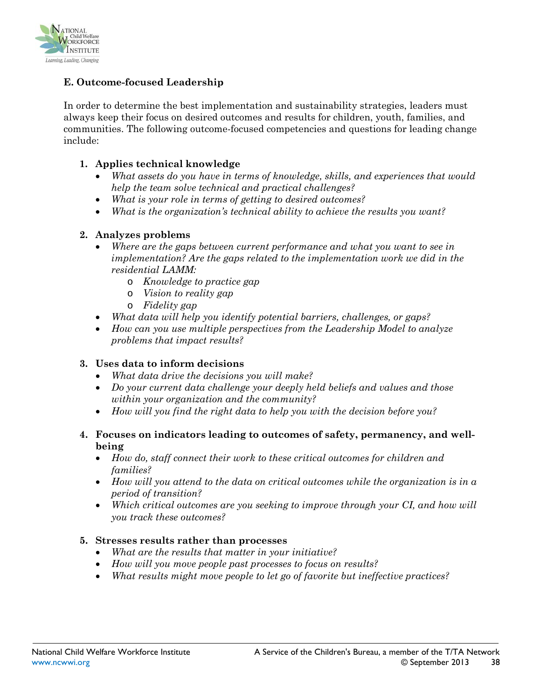

#### **E. Outcome-focused Leadership**

In order to determine the best implementation and sustainability strategies, leaders must always keep their focus on desired outcomes and results for children, youth, families, and communities. The following outcome-focused competencies and questions for leading change include:

#### **1. Applies technical knowledge**

- *What assets do you have in terms of knowledge, skills, and experiences that would help the team solve technical and practical challenges?*
- *What is your role in terms of getting to desired outcomes?*
- *What is the organization's technical ability to achieve the results you want?*

#### **2. Analyzes problems**

- *Where are the gaps between current performance and what you want to see in implementation? Are the gaps related to the implementation work we did in the residential LAMM:*
	- o *Knowledge to practice gap*
	- o *Vision to reality gap*
	- o *Fidelity gap*
- *What data will help you identify potential barriers, challenges, or gaps?*
- *How can you use multiple perspectives from the Leadership Model to analyze problems that impact results?*

#### **3. Uses data to inform decisions**

- *What data drive the decisions you will make?*
- *Do your current data challenge your deeply held beliefs and values and those within your organization and the community?*
- *How will you find the right data to help you with the decision before you?*

#### **4. Focuses on indicators leading to outcomes of safety, permanency, and wellbeing**

- *How do, staff connect their work to these critical outcomes for children and families?*
- *How will you attend to the data on critical outcomes while the organization is in a period of transition?*
- *Which critical outcomes are you seeking to improve through your CI, and how will you track these outcomes?*

#### **5. Stresses results rather than processes**

- *What are the results that matter in your initiative?*
- *How will you move people past processes to focus on results?*
- *What results might move people to let go of favorite but ineffective practices?*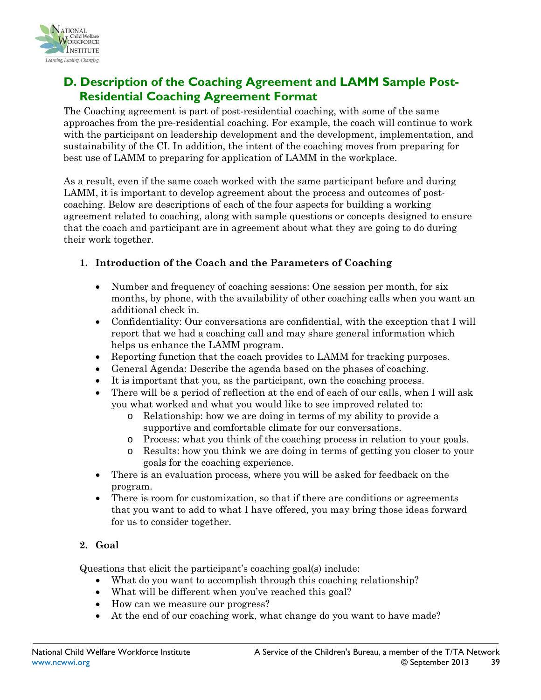

# <span id="page-38-0"></span>**D. Description of the Coaching Agreement and LAMM Sample Post-Residential Coaching Agreement Format**

The Coaching agreement is part of post-residential coaching, with some of the same approaches from the pre-residential coaching. For example, the coach will continue to work with the participant on leadership development and the development, implementation, and sustainability of the CI. In addition, the intent of the coaching moves from preparing for best use of LAMM to preparing for application of LAMM in the workplace.

As a result, even if the same coach worked with the same participant before and during LAMM, it is important to develop agreement about the process and outcomes of postcoaching. Below are descriptions of each of the four aspects for building a working agreement related to coaching, along with sample questions or concepts designed to ensure that the coach and participant are in agreement about what they are going to do during their work together.

#### **1. Introduction of the Coach and the Parameters of Coaching**

- Number and frequency of coaching sessions: One session per month, for six months, by phone, with the availability of other coaching calls when you want an additional check in.
- Confidentiality: Our conversations are confidential, with the exception that I will report that we had a coaching call and may share general information which helps us enhance the LAMM program.
- Reporting function that the coach provides to LAMM for tracking purposes.
- General Agenda: Describe the agenda based on the phases of coaching.
- It is important that you, as the participant, own the coaching process.
- There will be a period of reflection at the end of each of our calls, when I will ask you what worked and what you would like to see improved related to:
	- o Relationship: how we are doing in terms of my ability to provide a supportive and comfortable climate for our conversations.
	- o Process: what you think of the coaching process in relation to your goals.
	- o Results: how you think we are doing in terms of getting you closer to your goals for the coaching experience.
- There is an evaluation process, where you will be asked for feedback on the program.
- There is room for customization, so that if there are conditions or agreements that you want to add to what I have offered, you may bring those ideas forward for us to consider together.

#### **2. Goal**

Questions that elicit the participant's coaching goal(s) include:

- What do you want to accomplish through this coaching relationship?
	- What will be different when you've reached this goal?
	- How can we measure our progress?
	- At the end of our coaching work, what change do you want to have made?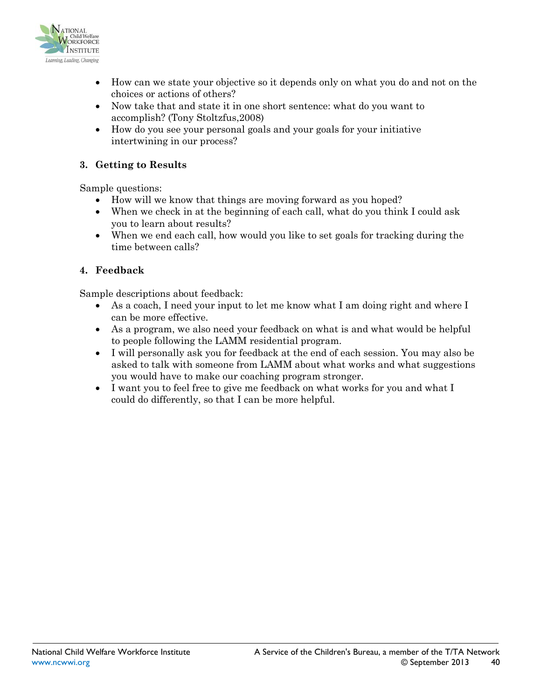

- How can we state your objective so it depends only on what you do and not on the choices or actions of others?
- Now take that and state it in one short sentence: what do you want to accomplish? (Tony Stoltzfus,2008)
- How do you see your personal goals and your goals for your initiative intertwining in our process?

#### **3. Getting to Results**

Sample questions:

- How will we know that things are moving forward as you hoped?
- When we check in at the beginning of each call, what do you think I could ask you to learn about results?
- When we end each call, how would you like to set goals for tracking during the time between calls?

#### **4. Feedback**

Sample descriptions about feedback:

- As a coach, I need your input to let me know what I am doing right and where I can be more effective.
- As a program, we also need your feedback on what is and what would be helpful to people following the LAMM residential program.
- I will personally ask you for feedback at the end of each session. You may also be asked to talk with someone from LAMM about what works and what suggestions you would have to make our coaching program stronger.
- I want you to feel free to give me feedback on what works for you and what I could do differently, so that I can be more helpful.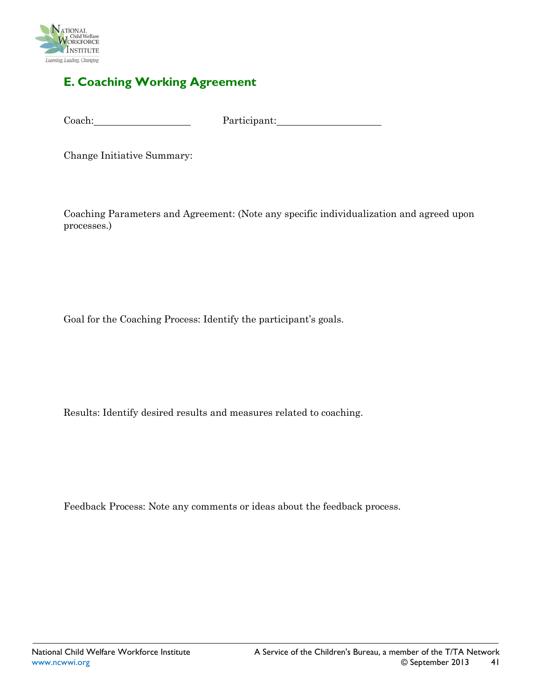

### <span id="page-40-0"></span>**E. Coaching Working Agreement**

Coach: Participant:

Change Initiative Summary:

Coaching Parameters and Agreement: (Note any specific individualization and agreed upon processes.)

Goal for the Coaching Process: Identify the participant's goals.

Results: Identify desired results and measures related to coaching.

Feedback Process: Note any comments or ideas about the feedback process.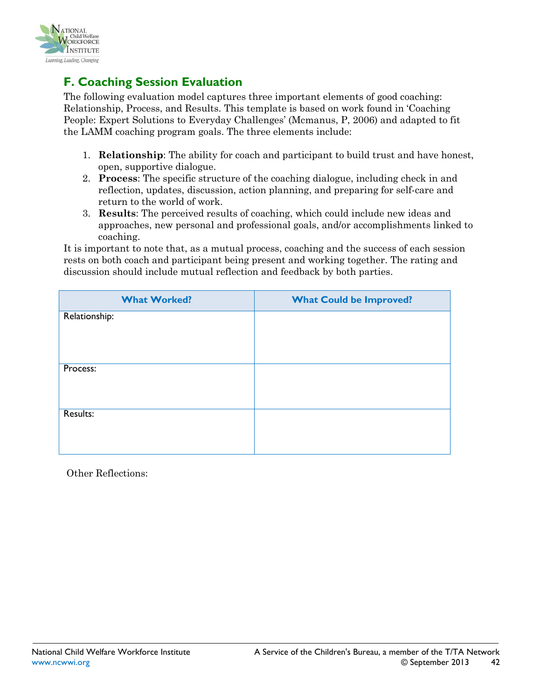

# <span id="page-41-0"></span>**F. Coaching Session Evaluation**

The following evaluation model captures three important elements of good coaching: Relationship, Process, and Results. This template is based on work found in 'Coaching People: Expert Solutions to Everyday Challenges' (Mcmanus, P, 2006) and adapted to fit the LAMM coaching program goals. The three elements include:

- 1. **Relationship**: The ability for coach and participant to build trust and have honest, open, supportive dialogue.
- 2. **Process**: The specific structure of the coaching dialogue, including check in and reflection, updates, discussion, action planning, and preparing for self-care and return to the world of work.
- 3. **Results**: The perceived results of coaching, which could include new ideas and approaches, new personal and professional goals, and/or accomplishments linked to coaching.

It is important to note that, as a mutual process, coaching and the success of each session rests on both coach and participant being present and working together. The rating and discussion should include mutual reflection and feedback by both parties.

| <b>What Worked?</b> | <b>What Could be Improved?</b> |
|---------------------|--------------------------------|
| Relationship:       |                                |
|                     |                                |
| Process:            |                                |
|                     |                                |
| Results:            |                                |
|                     |                                |

Other Reflections: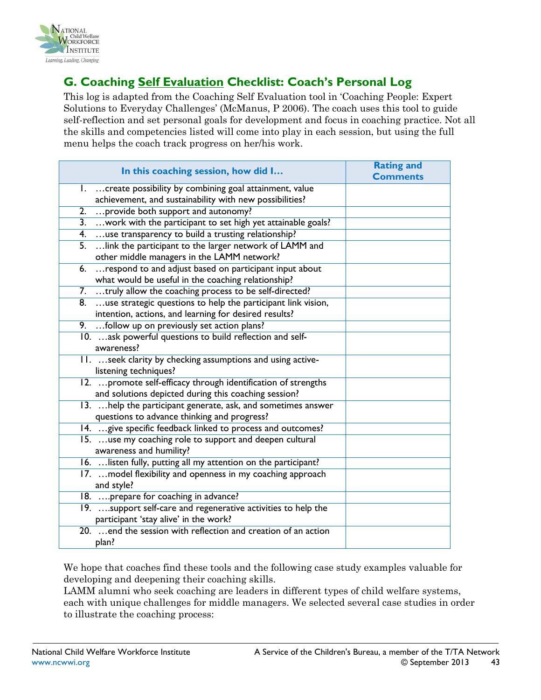

# <span id="page-42-0"></span>**G. Coaching Self Evaluation Checklist: Coach's Personal Log**

This log is adapted from the Coaching Self Evaluation tool in 'Coaching People: Expert Solutions to Everyday Challenges' (McManus, P 2006). The coach uses this tool to guide self-reflection and set personal goals for development and focus in coaching practice. Not all the skills and competencies listed will come into play in each session, but using the full menu helps the coach track progress on her/his work.

| In this coaching session, how did I                             | <b>Rating and</b> |
|-----------------------------------------------------------------|-------------------|
|                                                                 | <b>Comments</b>   |
| create possibility by combining goal attainment, value<br>Ι.    |                   |
| achievement, and sustainability with new possibilities?         |                   |
| provide both support and autonomy?<br>2.                        |                   |
| 3.  work with the participant to set high yet attainable goals? |                   |
| 4. use transparency to build a trusting relationship?           |                   |
| link the participant to the larger network of LAMM and<br>5.    |                   |
| other middle managers in the LAMM network?                      |                   |
| respond to and adjust based on participant input about<br>6.    |                   |
| what would be useful in the coaching relationship?              |                   |
| 7. truly allow the coaching process to be self-directed?        |                   |
| 8. use strategic questions to help the participant link vision, |                   |
| intention, actions, and learning for desired results?           |                   |
| 9.  follow up on previously set action plans?                   |                   |
| 10.  ask powerful questions to build reflection and self-       |                   |
| awareness?                                                      |                   |
| 11.  seek clarity by checking assumptions and using active-     |                   |
| listening techniques?                                           |                   |
| 12.  promote self-efficacy through identification of strengths  |                   |
| and solutions depicted during this coaching session?            |                   |
| 13. help the participant generate, ask, and sometimes answer    |                   |
| questions to advance thinking and progress?                     |                   |
| 14.  give specific feedback linked to process and outcomes?     |                   |
| 15. use my coaching role to support and deepen cultural         |                   |
| awareness and humility?                                         |                   |
| 16.  listen fully, putting all my attention on the participant? |                   |
| 17.  model flexibility and openness in my coaching approach     |                   |
| and style?                                                      |                   |
| 18.  prepare for coaching in advance?                           |                   |
| 19. support self-care and regenerative activities to help the   |                   |
| participant 'stay alive' in the work?                           |                   |
| 20.  end the session with reflection and creation of an action  |                   |
| plan?                                                           |                   |

We hope that coaches find these tools and the following case study examples valuable for developing and deepening their coaching skills.

LAMM alumni who seek coaching are leaders in different types of child welfare systems, each with unique challenges for middle managers. We selected several case studies in order to illustrate the coaching process: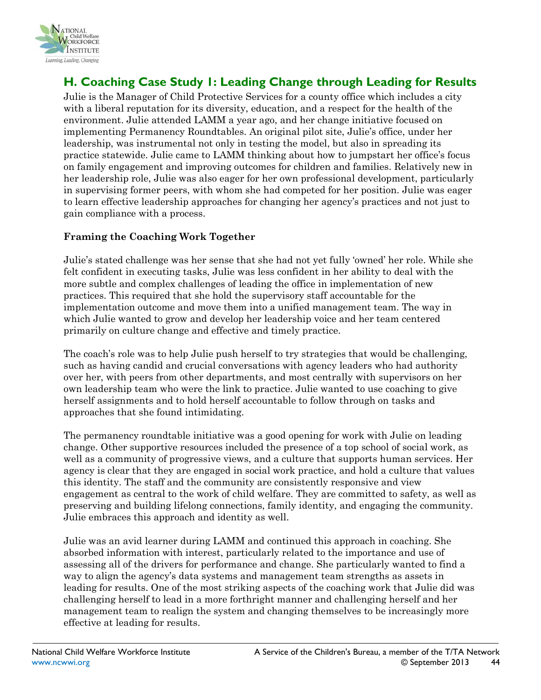

# <span id="page-43-0"></span>**H. Coaching Case Study 1: Leading Change through Leading for Results**

Julie is the Manager of Child Protective Services for a county office which includes a city with a liberal reputation for its diversity, education, and a respect for the health of the environment. Julie attended LAMM a year ago, and her change initiative focused on implementing Permanency Roundtables. An original pilot site, Julie's office, under her leadership, was instrumental not only in testing the model, but also in spreading its practice statewide. Julie came to LAMM thinking about how to jumpstart her office's focus on family engagement and improving outcomes for children and families. Relatively new in her leadership role, Julie was also eager for her own professional development, particularly in supervising former peers, with whom she had competed for her position. Julie was eager to learn effective leadership approaches for changing her agency's practices and not just to gain compliance with a process.

#### **Framing the Coaching Work Together**

Julie's stated challenge was her sense that she had not yet fully 'owned' her role. While she felt confident in executing tasks, Julie was less confident in her ability to deal with the more subtle and complex challenges of leading the office in implementation of new practices. This required that she hold the supervisory staff accountable for the implementation outcome and move them into a unified management team. The way in which Julie wanted to grow and develop her leadership voice and her team centered primarily on culture change and effective and timely practice.

The coach's role was to help Julie push herself to try strategies that would be challenging, such as having candid and crucial conversations with agency leaders who had authority over her, with peers from other departments, and most centrally with supervisors on her own leadership team who were the link to practice. Julie wanted to use coaching to give herself assignments and to hold herself accountable to follow through on tasks and approaches that she found intimidating.

The permanency roundtable initiative was a good opening for work with Julie on leading change. Other supportive resources included the presence of a top school of social work, as well as a community of progressive views, and a culture that supports human services. Her agency is clear that they are engaged in social work practice, and hold a culture that values this identity. The staff and the community are consistently responsive and view engagement as central to the work of child welfare. They are committed to safety, as well as preserving and building lifelong connections, family identity, and engaging the community. Julie embraces this approach and identity as well.

Julie was an avid learner during LAMM and continued this approach in coaching. She absorbed information with interest, particularly related to the importance and use of assessing all of the drivers for performance and change. She particularly wanted to find a way to align the agency's data systems and management team strengths as assets in leading for results. One of the most striking aspects of the coaching work that Julie did was challenging herself to lead in a more forthright manner and challenging herself and her management team to realign the system and changing themselves to be increasingly more effective at leading for results.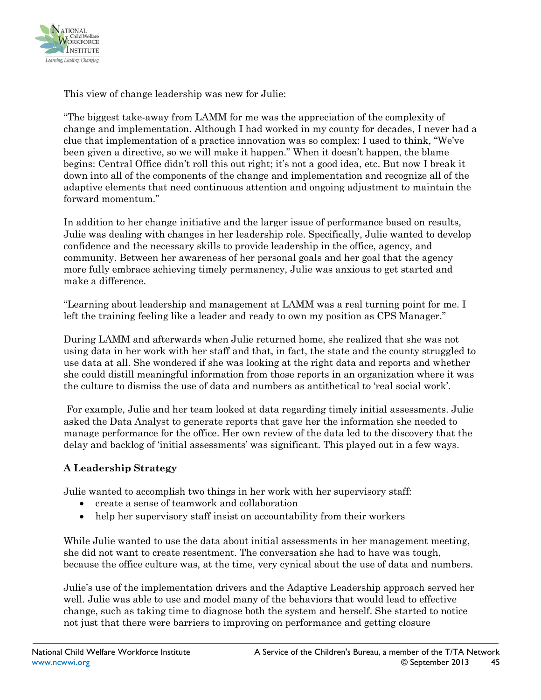

This view of change leadership was new for Julie:

"The biggest take-away from LAMM for me was the appreciation of the complexity of change and implementation. Although I had worked in my county for decades, I never had a clue that implementation of a practice innovation was so complex: I used to think, "We've been given a directive, so we will make it happen." When it doesn't happen, the blame begins: Central Office didn't roll this out right; it's not a good idea, etc. But now I break it down into all of the components of the change and implementation and recognize all of the adaptive elements that need continuous attention and ongoing adjustment to maintain the forward momentum."

In addition to her change initiative and the larger issue of performance based on results, Julie was dealing with changes in her leadership role. Specifically, Julie wanted to develop confidence and the necessary skills to provide leadership in the office, agency, and community. Between her awareness of her personal goals and her goal that the agency more fully embrace achieving timely permanency, Julie was anxious to get started and make a difference.

"Learning about leadership and management at LAMM was a real turning point for me. I left the training feeling like a leader and ready to own my position as CPS Manager."

During LAMM and afterwards when Julie returned home, she realized that she was not using data in her work with her staff and that, in fact, the state and the county struggled to use data at all. She wondered if she was looking at the right data and reports and whether she could distill meaningful information from those reports in an organization where it was the culture to dismiss the use of data and numbers as antithetical to 'real social work'.

For example, Julie and her team looked at data regarding timely initial assessments. Julie asked the Data Analyst to generate reports that gave her the information she needed to manage performance for the office. Her own review of the data led to the discovery that the delay and backlog of 'initial assessments' was significant. This played out in a few ways.

#### **A Leadership Strategy**

Julie wanted to accomplish two things in her work with her supervisory staff:

- create a sense of teamwork and collaboration
- help her supervisory staff insist on accountability from their workers

While Julie wanted to use the data about initial assessments in her management meeting, she did not want to create resentment. The conversation she had to have was tough, because the office culture was, at the time, very cynical about the use of data and numbers.

Julie's use of the implementation drivers and the Adaptive Leadership approach served her well. Julie was able to use and model many of the behaviors that would lead to effective change, such as taking time to diagnose both the system and herself. She started to notice not just that there were barriers to improving on performance and getting closure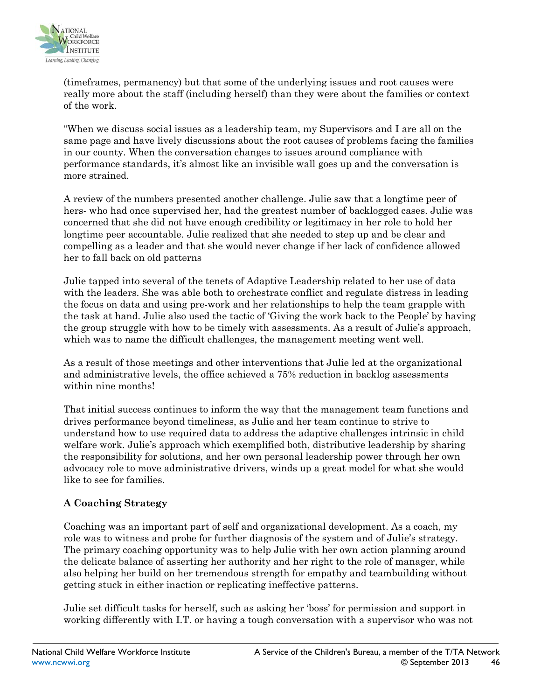

(timeframes, permanency) but that some of the underlying issues and root causes were really more about the staff (including herself) than they were about the families or context of the work.

"When we discuss social issues as a leadership team, my Supervisors and I are all on the same page and have lively discussions about the root causes of problems facing the families in our county. When the conversation changes to issues around compliance with performance standards, it's almost like an invisible wall goes up and the conversation is more strained.

A review of the numbers presented another challenge. Julie saw that a longtime peer of hers- who had once supervised her, had the greatest number of backlogged cases. Julie was concerned that she did not have enough credibility or legitimacy in her role to hold her longtime peer accountable. Julie realized that she needed to step up and be clear and compelling as a leader and that she would never change if her lack of confidence allowed her to fall back on old patterns

Julie tapped into several of the tenets of Adaptive Leadership related to her use of data with the leaders. She was able both to orchestrate conflict and regulate distress in leading the focus on data and using pre-work and her relationships to help the team grapple with the task at hand. Julie also used the tactic of 'Giving the work back to the People' by having the group struggle with how to be timely with assessments. As a result of Julie's approach, which was to name the difficult challenges, the management meeting went well.

As a result of those meetings and other interventions that Julie led at the organizational and administrative levels, the office achieved a 75% reduction in backlog assessments within nine months!

That initial success continues to inform the way that the management team functions and drives performance beyond timeliness, as Julie and her team continue to strive to understand how to use required data to address the adaptive challenges intrinsic in child welfare work. Julie's approach which exemplified both, distributive leadership by sharing the responsibility for solutions, and her own personal leadership power through her own advocacy role to move administrative drivers, winds up a great model for what she would like to see for families.

#### **A Coaching Strategy**

Coaching was an important part of self and organizational development. As a coach, my role was to witness and probe for further diagnosis of the system and of Julie's strategy. The primary coaching opportunity was to help Julie with her own action planning around the delicate balance of asserting her authority and her right to the role of manager, while also helping her build on her tremendous strength for empathy and teambuilding without getting stuck in either inaction or replicating ineffective patterns.

Julie set difficult tasks for herself, such as asking her 'boss' for permission and support in working differently with I.T. or having a tough conversation with a supervisor who was not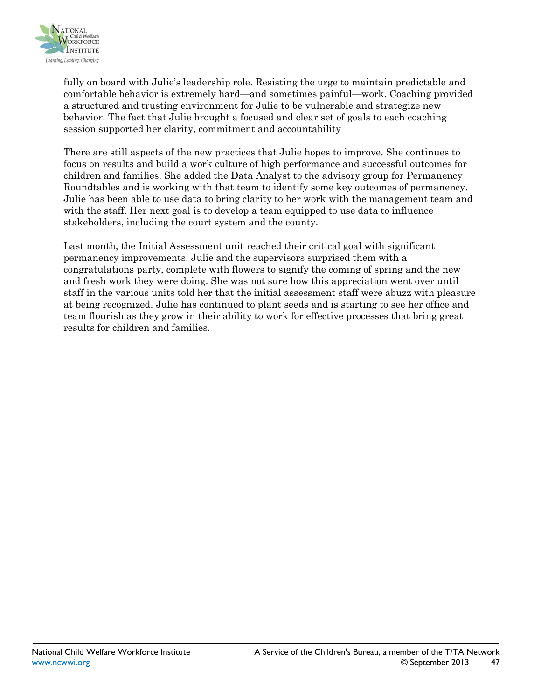

fully on board with Julie's leadership role. Resisting the urge to maintain predictable and comfortable behavior is extremely hard—and sometimes painful—work. Coaching provided a structured and trusting environment for Julie to be vulnerable and strategize new behavior. The fact that Julie brought a focused and clear set of goals to each coaching session supported her clarity, commitment and accountability

There are still aspects of the new practices that Julie hopes to improve. She continues to focus on results and build a work culture of high performance and successful outcomes for children and families. She added the Data Analyst to the advisory group for Permanency Roundtables and is working with that team to identify some key outcomes of permanency. Julie has been able to use data to bring clarity to her work with the management team and with the staff. Her next goal is to develop a team equipped to use data to influence stakeholders, including the court system and the county.

Last month, the Initial Assessment unit reached their critical goal with significant permanency improvements. Julie and the supervisors surprised them with a congratulations party, complete with flowers to signify the coming of spring and the new and fresh work they were doing. She was not sure how this appreciation went over until staff in the various units told her that the initial assessment staff were abuzz with pleasure at being recognized. Julie has continued to plant seeds and is starting to see her office and team flourish as they grow in their ability to work for effective processes that bring great results for children and families.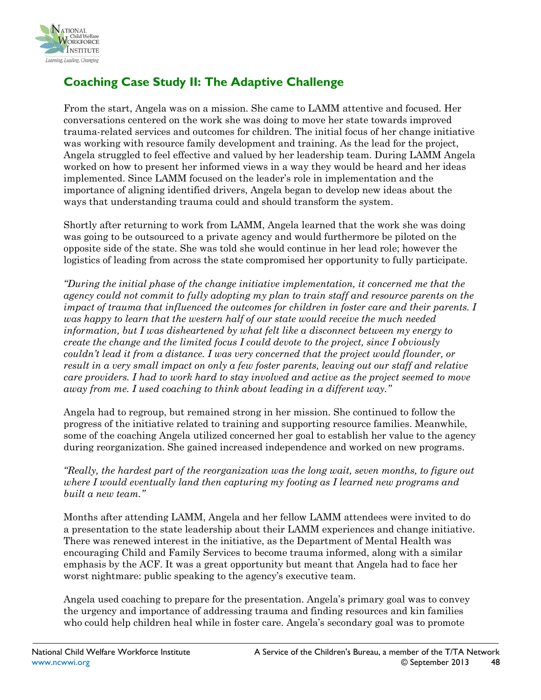

# **Coaching Case Study II: The Adaptive Challenge**

From the start, Angela was on a mission. She came to LAMM attentive and focused. Her conversations centered on the work she was doing to move her state towards improved trauma-related services and outcomes for children. The initial focus of her change initiative was working with resource family development and training. As the lead for the project, Angela struggled to feel effective and valued by her leadership team. During LAMM Angela worked on how to present her informed views in a way they would be heard and her ideas implemented. Since LAMM focused on the leader's role in implementation and the importance of aligning identified drivers, Angela began to develop new ideas about the ways that understanding trauma could and should transform the system.

Shortly after returning to work from LAMM, Angela learned that the work she was doing was going to be outsourced to a private agency and would furthermore be piloted on the opposite side of the state. She was told she would continue in her lead role; however the logistics of leading from across the state compromised her opportunity to fully participate.

*"During the initial phase of the change initiative implementation, it concerned me that the agency could not commit to fully adopting my plan to train staff and resource parents on the impact of trauma that influenced the outcomes for children in foster care and their parents. I was happy to learn that the western half of our state would receive the much needed information, but I was disheartened by what felt like a disconnect between my energy to create the change and the limited focus I could devote to the project, since I obviously couldn't lead it from a distance. I was very concerned that the project would flounder, or result in a very small impact on only a few foster parents, leaving out our staff and relative care providers. I had to work hard to stay involved and active as the project seemed to move away from me. I used coaching to think about leading in a different way."*

Angela had to regroup, but remained strong in her mission. She continued to follow the progress of the initiative related to training and supporting resource families. Meanwhile, some of the coaching Angela utilized concerned her goal to establish her value to the agency during reorganization. She gained increased independence and worked on new programs.

*"Really, the hardest part of the reorganization was the long wait, seven months, to figure out where I would eventually land then capturing my footing as I learned new programs and built a new team."*

Months after attending LAMM, Angela and her fellow LAMM attendees were invited to do a presentation to the state leadership about their LAMM experiences and change initiative. There was renewed interest in the initiative, as the Department of Mental Health was encouraging Child and Family Services to become trauma informed, along with a similar emphasis by the ACF. It was a great opportunity but meant that Angela had to face her worst nightmare: public speaking to the agency's executive team.

Angela used coaching to prepare for the presentation. Angela's primary goal was to convey the urgency and importance of addressing trauma and finding resources and kin families who could help children heal while in foster care. Angela's secondary goal was to promote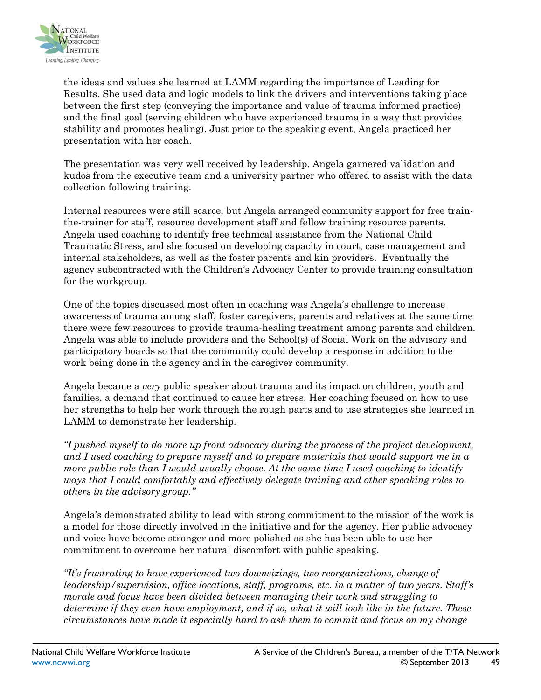

the ideas and values she learned at LAMM regarding the importance of Leading for Results. She used data and logic models to link the drivers and interventions taking place between the first step (conveying the importance and value of trauma informed practice) and the final goal (serving children who have experienced trauma in a way that provides stability and promotes healing). Just prior to the speaking event, Angela practiced her presentation with her coach.

The presentation was very well received by leadership. Angela garnered validation and kudos from the executive team and a university partner who offered to assist with the data collection following training.

Internal resources were still scarce, but Angela arranged community support for free trainthe-trainer for staff, resource development staff and fellow training resource parents. Angela used coaching to identify free technical assistance from the National Child Traumatic Stress, and she focused on developing capacity in court, case management and internal stakeholders, as well as the foster parents and kin providers. Eventually the agency subcontracted with the Children's Advocacy Center to provide training consultation for the workgroup.

One of the topics discussed most often in coaching was Angela's challenge to increase awareness of trauma among staff, foster caregivers, parents and relatives at the same time there were few resources to provide trauma-healing treatment among parents and children. Angela was able to include providers and the School(s) of Social Work on the advisory and participatory boards so that the community could develop a response in addition to the work being done in the agency and in the caregiver community.

Angela became a *very* public speaker about trauma and its impact on children, youth and families, a demand that continued to cause her stress. Her coaching focused on how to use her strengths to help her work through the rough parts and to use strategies she learned in LAMM to demonstrate her leadership.

*"I pushed myself to do more up front advocacy during the process of the project development, and I used coaching to prepare myself and to prepare materials that would support me in a more public role than I would usually choose. At the same time I used coaching to identify ways that I could comfortably and effectively delegate training and other speaking roles to others in the advisory group."* 

Angela's demonstrated ability to lead with strong commitment to the mission of the work is a model for those directly involved in the initiative and for the agency. Her public advocacy and voice have become stronger and more polished as she has been able to use her commitment to overcome her natural discomfort with public speaking.

*"It's frustrating to have experienced two downsizings, two reorganizations, change of leadership/supervision, office locations, staff, programs, etc. in a matter of two years. Staff's morale and focus have been divided between managing their work and struggling to determine if they even have employment, and if so, what it will look like in the future. These circumstances have made it especially hard to ask them to commit and focus on my change*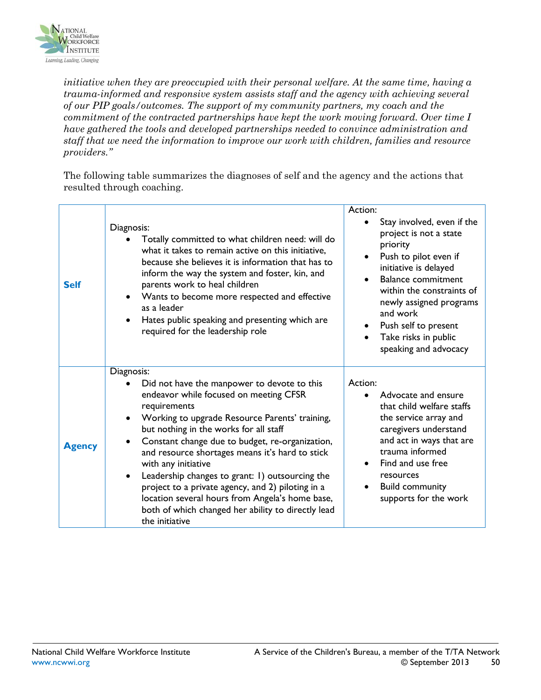

*initiative when they are preoccupied with their personal welfare. At the same time, having a trauma-informed and responsive system assists staff and the agency with achieving several of our PIP goals/outcomes. The support of my community partners, my coach and the commitment of the contracted partnerships have kept the work moving forward. Over time I have gathered the tools and developed partnerships needed to convince administration and staff that we need the information to improve our work with children, families and resource providers."*

The following table summarizes the diagnoses of self and the agency and the actions that resulted through coaching.

| <b>Self</b>   | Diagnosis:<br>Totally committed to what children need: will do<br>what it takes to remain active on this initiative,<br>because she believes it is information that has to<br>inform the way the system and foster, kin, and<br>parents work to heal children<br>Wants to become more respected and effective<br>as a leader<br>Hates public speaking and presenting which are<br>required for the leadership role                                                                                                                                                              | Action:<br>Stay involved, even if the<br>project is not a state<br>priority<br>Push to pilot even if<br>٠<br>initiative is delayed<br><b>Balance commitment</b><br>within the constraints of<br>newly assigned programs<br>and work<br>Push self to present<br>٠<br>Take risks in public<br>speaking and advocacy |
|---------------|---------------------------------------------------------------------------------------------------------------------------------------------------------------------------------------------------------------------------------------------------------------------------------------------------------------------------------------------------------------------------------------------------------------------------------------------------------------------------------------------------------------------------------------------------------------------------------|-------------------------------------------------------------------------------------------------------------------------------------------------------------------------------------------------------------------------------------------------------------------------------------------------------------------|
| <b>Agency</b> | Diagnosis:<br>Did not have the manpower to devote to this<br>endeavor while focused on meeting CFSR<br>requirements<br>Working to upgrade Resource Parents' training,<br>but nothing in the works for all staff<br>Constant change due to budget, re-organization,<br>and resource shortages means it's hard to stick<br>with any initiative<br>Leadership changes to grant: 1) outsourcing the<br>project to a private agency, and 2) piloting in a<br>location several hours from Angela's home base,<br>both of which changed her ability to directly lead<br>the initiative | Action:<br>Advocate and ensure<br>that child welfare staffs<br>the service array and<br>caregivers understand<br>and act in ways that are<br>trauma informed<br>Find and use free<br>resources<br><b>Build community</b><br>supports for the work                                                                 |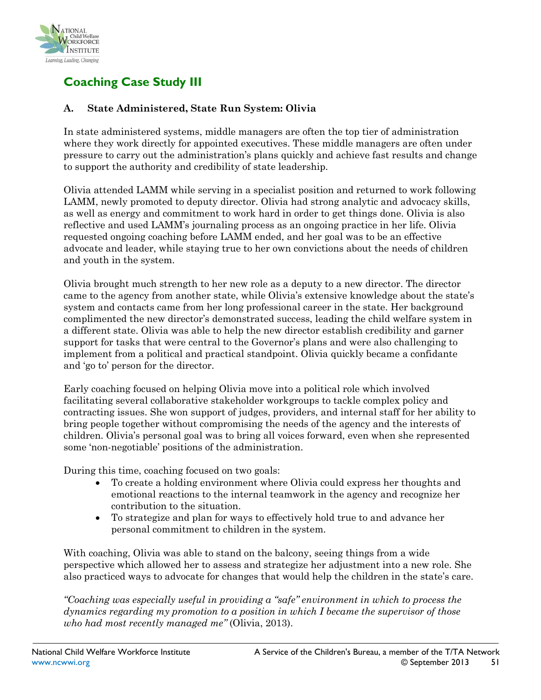

# **Coaching Case Study III**

#### **A. State Administered, State Run System: Olivia**

In state administered systems, middle managers are often the top tier of administration where they work directly for appointed executives. These middle managers are often under pressure to carry out the administration's plans quickly and achieve fast results and change to support the authority and credibility of state leadership.

Olivia attended LAMM while serving in a specialist position and returned to work following LAMM, newly promoted to deputy director. Olivia had strong analytic and advocacy skills, as well as energy and commitment to work hard in order to get things done. Olivia is also reflective and used LAMM's journaling process as an ongoing practice in her life. Olivia requested ongoing coaching before LAMM ended, and her goal was to be an effective advocate and leader, while staying true to her own convictions about the needs of children and youth in the system.

Olivia brought much strength to her new role as a deputy to a new director. The director came to the agency from another state, while Olivia's extensive knowledge about the state's system and contacts came from her long professional career in the state. Her background complimented the new director's demonstrated success, leading the child welfare system in a different state. Olivia was able to help the new director establish credibility and garner support for tasks that were central to the Governor's plans and were also challenging to implement from a political and practical standpoint. Olivia quickly became a confidante and 'go to' person for the director.

Early coaching focused on helping Olivia move into a political role which involved facilitating several collaborative stakeholder workgroups to tackle complex policy and contracting issues. She won support of judges, providers, and internal staff for her ability to bring people together without compromising the needs of the agency and the interests of children. Olivia's personal goal was to bring all voices forward, even when she represented some 'non-negotiable' positions of the administration.

During this time, coaching focused on two goals:

- To create a holding environment where Olivia could express her thoughts and emotional reactions to the internal teamwork in the agency and recognize her contribution to the situation.
- To strategize and plan for ways to effectively hold true to and advance her personal commitment to children in the system.

With coaching, Olivia was able to stand on the balcony, seeing things from a wide perspective which allowed her to assess and strategize her adjustment into a new role. She also practiced ways to advocate for changes that would help the children in the state's care.

*"Coaching was especially useful in providing a "safe" environment in which to process the dynamics regarding my promotion to a position in which I became the supervisor of those who had most recently managed me"* (Olivia, 2013).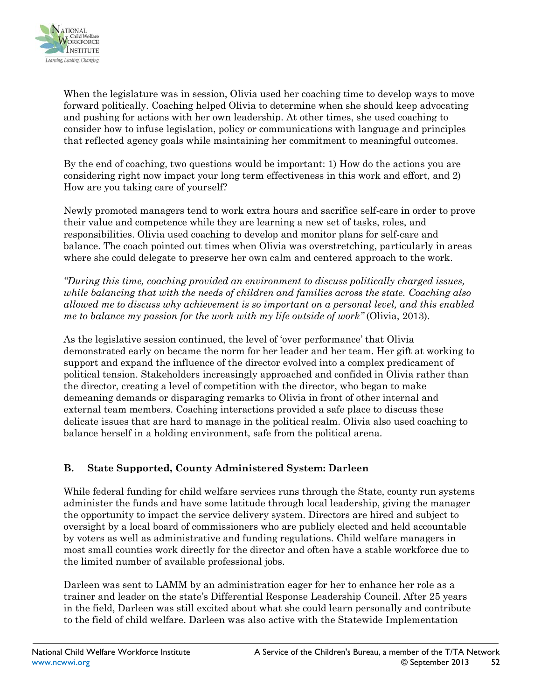

When the legislature was in session, Olivia used her coaching time to develop ways to move forward politically. Coaching helped Olivia to determine when she should keep advocating and pushing for actions with her own leadership. At other times, she used coaching to consider how to infuse legislation, policy or communications with language and principles that reflected agency goals while maintaining her commitment to meaningful outcomes.

By the end of coaching, two questions would be important: 1) How do the actions you are considering right now impact your long term effectiveness in this work and effort, and 2) How are you taking care of yourself?

Newly promoted managers tend to work extra hours and sacrifice self-care in order to prove their value and competence while they are learning a new set of tasks, roles, and responsibilities. Olivia used coaching to develop and monitor plans for self-care and balance. The coach pointed out times when Olivia was overstretching, particularly in areas where she could delegate to preserve her own calm and centered approach to the work.

*"During this time, coaching provided an environment to discuss politically charged issues, while balancing that with the needs of children and families across the state. Coaching also allowed me to discuss why achievement is so important on a personal level, and this enabled me to balance my passion for the work with my life outside of work"* (Olivia, 2013).

As the legislative session continued, the level of 'over performance' that Olivia demonstrated early on became the norm for her leader and her team. Her gift at working to support and expand the influence of the director evolved into a complex predicament of political tension. Stakeholders increasingly approached and confided in Olivia rather than the director, creating a level of competition with the director, who began to make demeaning demands or disparaging remarks to Olivia in front of other internal and external team members. Coaching interactions provided a safe place to discuss these delicate issues that are hard to manage in the political realm. Olivia also used coaching to balance herself in a holding environment, safe from the political arena.

#### **B. State Supported, County Administered System: Darleen**

While federal funding for child welfare services runs through the State, county run systems administer the funds and have some latitude through local leadership, giving the manager the opportunity to impact the service delivery system. Directors are hired and subject to oversight by a local board of commissioners who are publicly elected and held accountable by voters as well as administrative and funding regulations. Child welfare managers in most small counties work directly for the director and often have a stable workforce due to the limited number of available professional jobs.

Darleen was sent to LAMM by an administration eager for her to enhance her role as a trainer and leader on the state's Differential Response Leadership Council. After 25 years in the field, Darleen was still excited about what she could learn personally and contribute to the field of child welfare. Darleen was also active with the Statewide Implementation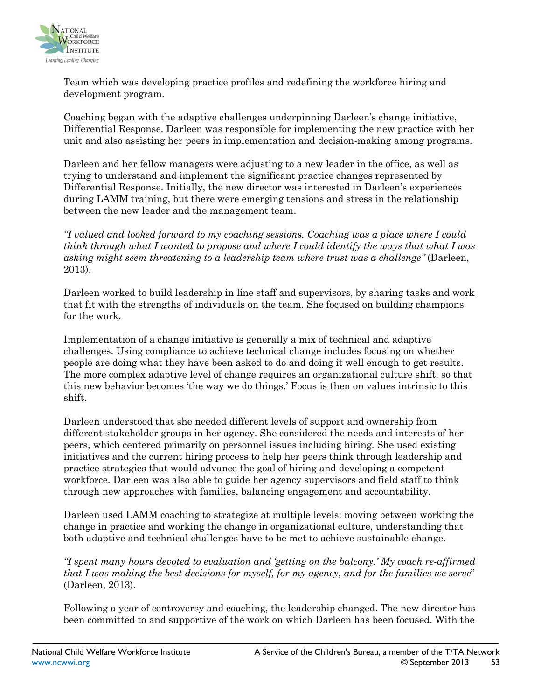

Team which was developing practice profiles and redefining the workforce hiring and development program.

Coaching began with the adaptive challenges underpinning Darleen's change initiative, Differential Response. Darleen was responsible for implementing the new practice with her unit and also assisting her peers in implementation and decision-making among programs.

Darleen and her fellow managers were adjusting to a new leader in the office, as well as trying to understand and implement the significant practice changes represented by Differential Response. Initially, the new director was interested in Darleen's experiences during LAMM training, but there were emerging tensions and stress in the relationship between the new leader and the management team.

*"I valued and looked forward to my coaching sessions. Coaching was a place where I could think through what I wanted to propose and where I could identify the ways that what I was asking might seem threatening to a leadership team where trust was a challenge"* (Darleen, 2013).

Darleen worked to build leadership in line staff and supervisors, by sharing tasks and work that fit with the strengths of individuals on the team. She focused on building champions for the work.

Implementation of a change initiative is generally a mix of technical and adaptive challenges. Using compliance to achieve technical change includes focusing on whether people are doing what they have been asked to do and doing it well enough to get results. The more complex adaptive level of change requires an organizational culture shift, so that this new behavior becomes 'the way we do things.' Focus is then on values intrinsic to this shift.

Darleen understood that she needed different levels of support and ownership from different stakeholder groups in her agency. She considered the needs and interests of her peers, which centered primarily on personnel issues including hiring. She used existing initiatives and the current hiring process to help her peers think through leadership and practice strategies that would advance the goal of hiring and developing a competent workforce. Darleen was also able to guide her agency supervisors and field staff to think through new approaches with families, balancing engagement and accountability.

Darleen used LAMM coaching to strategize at multiple levels: moving between working the change in practice and working the change in organizational culture, understanding that both adaptive and technical challenges have to be met to achieve sustainable change.

*"I spent many hours devoted to evaluation and 'getting on the balcony.' My coach re-affirmed that I was making the best decisions for myself, for my agency, and for the families we serve*" (Darleen, 2013).

Following a year of controversy and coaching, the leadership changed. The new director has been committed to and supportive of the work on which Darleen has been focused. With the